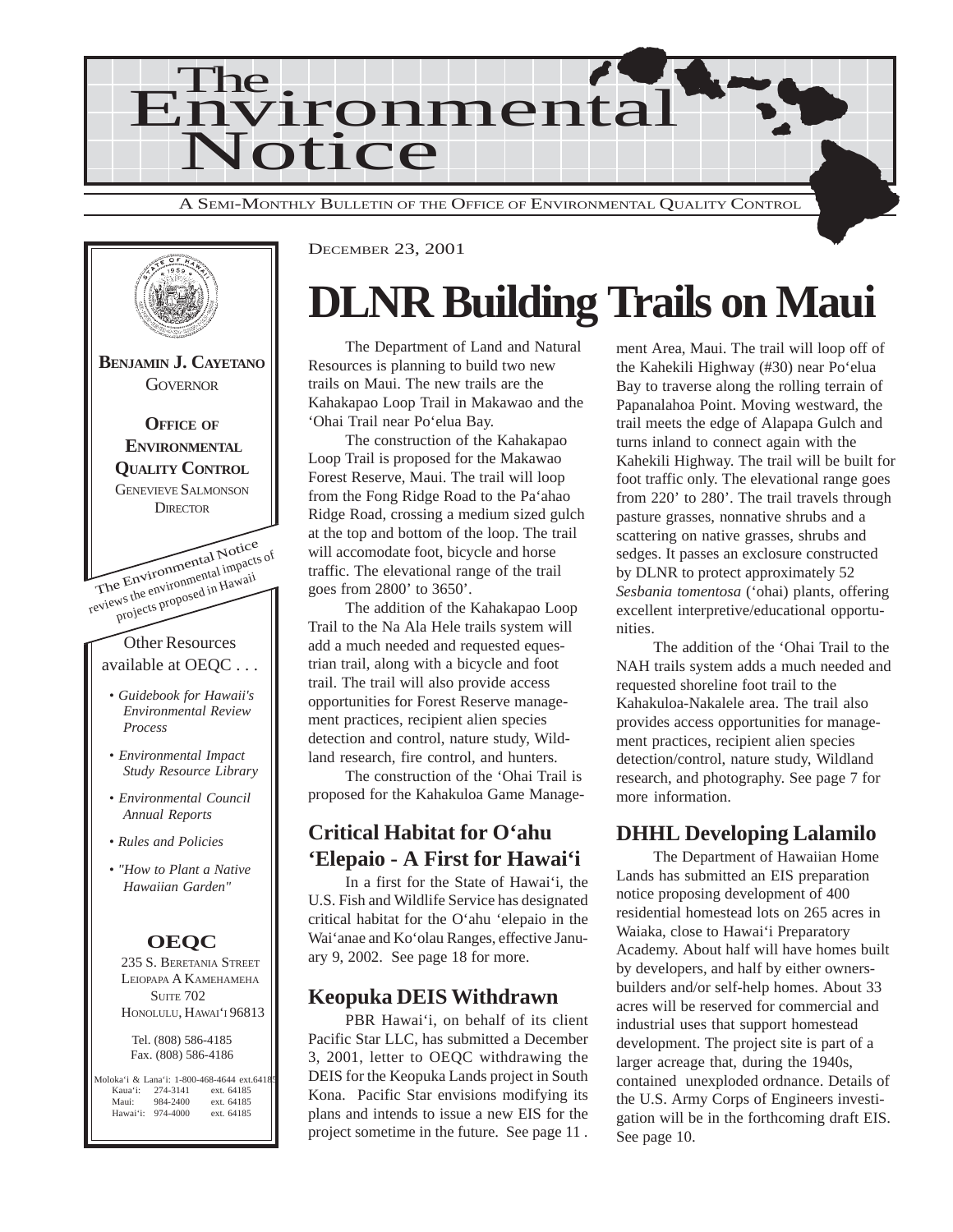



DECEMBER 23, 2001

## **DLNR Building Trails on Maui**

The Department of Land and Natural Resources is planning to build two new trails on Maui. The new trails are the Kahakapao Loop Trail in Makawao and the 'Ohai Trail near Po'elua Bay.

The construction of the Kahakapao Loop Trail is proposed for the Makawao Forest Reserve, Maui. The trail will loop from the Fong Ridge Road to the Pa'ahao Ridge Road, crossing a medium sized gulch at the top and bottom of the loop. The trail will accomodate foot, bicycle and horse traffic. The elevational range of the trail goes from 2800' to 3650'.

The addition of the Kahakapao Loop Trail to the Na Ala Hele trails system will add a much needed and requested equestrian trail, along with a bicycle and foot trail. The trail will also provide access opportunities for Forest Reserve management practices, recipient alien species detection and control, nature study, Wildland research, fire control, and hunters.

The construction of the 'Ohai Trail is proposed for the Kahakuloa Game Manage-

## **Critical Habitat for O'ahu 'Elepaio - A First for Hawai'i**

In a first for the State of Hawai'i, the U.S. Fish and Wildlife Service has designated critical habitat for the O'ahu 'elepaio in the Wai'anae and Ko'olau Ranges, effective January 9, 2002. See page 18 for more.

#### **Keopuka DEIS Withdrawn**

PBR Hawai'i, on behalf of its client Pacific Star LLC, has submitted a December 3, 2001, letter to OEQC withdrawing the DEIS for the Keopuka Lands project in South Kona. Pacific Star envisions modifying its plans and intends to issue a new EIS for the project sometime in the future. See page 11 . ment Area, Maui. The trail will loop off of the Kahekili Highway (#30) near Po'elua Bay to traverse along the rolling terrain of Papanalahoa Point. Moving westward, the trail meets the edge of Alapapa Gulch and turns inland to connect again with the Kahekili Highway. The trail will be built for foot traffic only. The elevational range goes from 220' to 280'. The trail travels through pasture grasses, nonnative shrubs and a scattering on native grasses, shrubs and sedges. It passes an exclosure constructed by DLNR to protect approximately 52 *Sesbania tomentosa* ('ohai) plants, offering excellent interpretive/educational opportunities.

The addition of the 'Ohai Trail to the NAH trails system adds a much needed and requested shoreline foot trail to the Kahakuloa-Nakalele area. The trail also provides access opportunities for management practices, recipient alien species detection/control, nature study, Wildland research, and photography. See page 7 for more information.

## **DHHL Developing Lalamilo**

The Department of Hawaiian Home Lands has submitted an EIS preparation notice proposing development of 400 residential homestead lots on 265 acres in Waiaka, close to Hawai'i Preparatory Academy. About half will have homes built by developers, and half by either ownersbuilders and/or self-help homes. About 33 acres will be reserved for commercial and industrial uses that support homestead development. The project site is part of a larger acreage that, during the 1940s, contained unexploded ordnance. Details of the U.S. Army Corps of Engineers investigation will be in the forthcoming draft EIS. See page 10.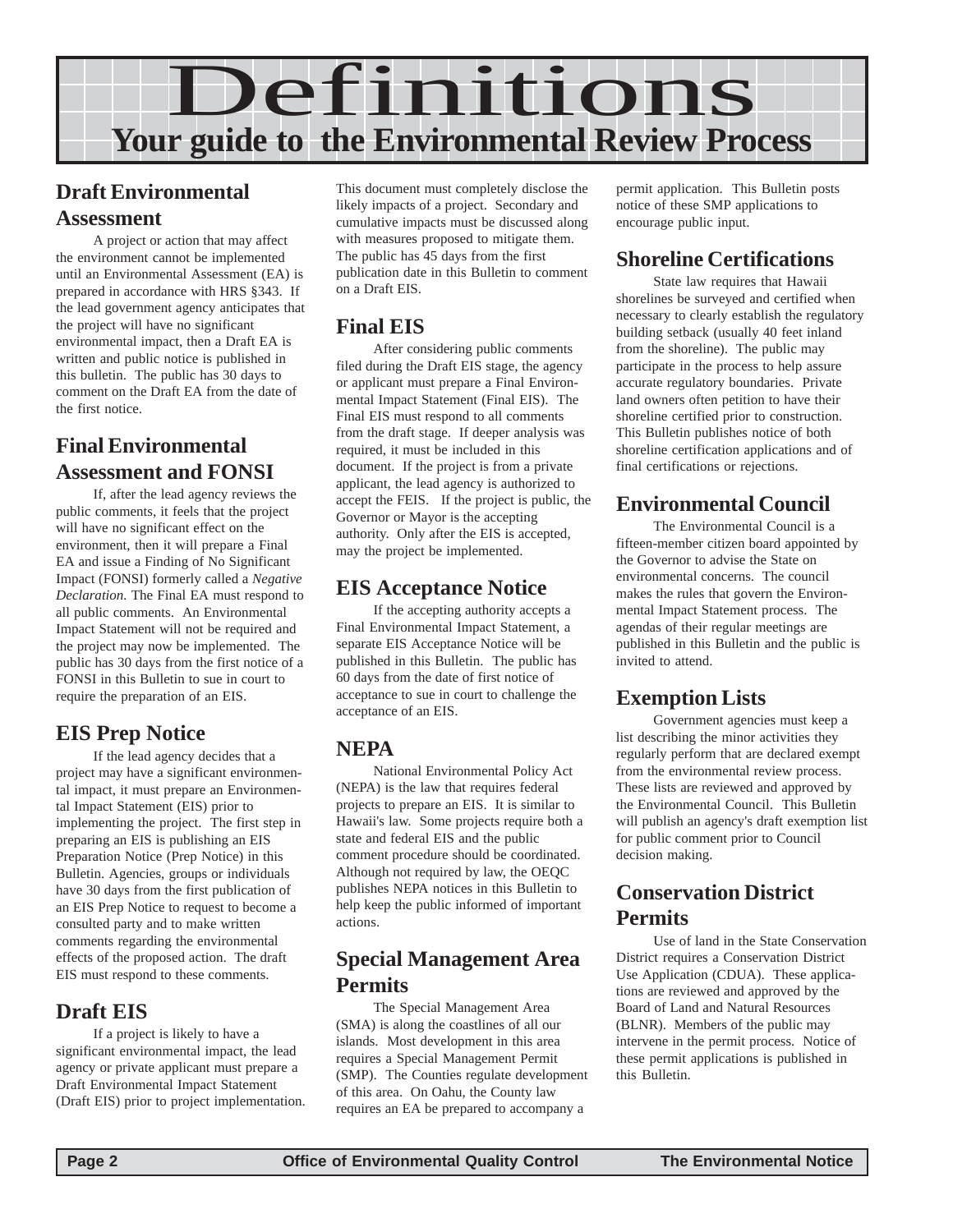

### **Draft Environmental Assessment**

A project or action that may affect the environment cannot be implemented until an Environmental Assessment (EA) is prepared in accordance with HRS §343. If the lead government agency anticipates that the project will have no significant environmental impact, then a Draft EA is written and public notice is published in this bulletin. The public has 30 days to comment on the Draft EA from the date of the first notice.

## **Final Environmental Assessment and FONSI**

If, after the lead agency reviews the public comments, it feels that the project will have no significant effect on the environment, then it will prepare a Final EA and issue a Finding of No Significant Impact (FONSI) formerly called a *Negative Declaration.* The Final EA must respond to all public comments. An Environmental Impact Statement will not be required and the project may now be implemented. The public has 30 days from the first notice of a FONSI in this Bulletin to sue in court to require the preparation of an EIS.

## **EIS Prep Notice**

If the lead agency decides that a project may have a significant environmental impact, it must prepare an Environmental Impact Statement (EIS) prior to implementing the project. The first step in preparing an EIS is publishing an EIS Preparation Notice (Prep Notice) in this Bulletin. Agencies, groups or individuals have 30 days from the first publication of an EIS Prep Notice to request to become a consulted party and to make written comments regarding the environmental effects of the proposed action. The draft EIS must respond to these comments.

### **Draft EIS**

If a project is likely to have a significant environmental impact, the lead agency or private applicant must prepare a Draft Environmental Impact Statement (Draft EIS) prior to project implementation.

This document must completely disclose the likely impacts of a project. Secondary and cumulative impacts must be discussed along with measures proposed to mitigate them. The public has 45 days from the first publication date in this Bulletin to comment on a Draft EIS.

#### **Final EIS**

After considering public comments filed during the Draft EIS stage, the agency or applicant must prepare a Final Environmental Impact Statement (Final EIS). The Final EIS must respond to all comments from the draft stage. If deeper analysis was required, it must be included in this document. If the project is from a private applicant, the lead agency is authorized to accept the FEIS. If the project is public, the Governor or Mayor is the accepting authority. Only after the EIS is accepted, may the project be implemented.

### **EIS Acceptance Notice**

If the accepting authority accepts a Final Environmental Impact Statement, a separate EIS Acceptance Notice will be published in this Bulletin. The public has 60 days from the date of first notice of acceptance to sue in court to challenge the acceptance of an EIS.

### **NEPA**

National Environmental Policy Act (NEPA) is the law that requires federal projects to prepare an EIS. It is similar to Hawaii's law. Some projects require both a state and federal EIS and the public comment procedure should be coordinated. Although not required by law, the OEQC publishes NEPA notices in this Bulletin to help keep the public informed of important actions.

### **Special Management Area Permits**

The Special Management Area (SMA) is along the coastlines of all our islands. Most development in this area requires a Special Management Permit (SMP). The Counties regulate development of this area. On Oahu, the County law requires an EA be prepared to accompany a

permit application. This Bulletin posts notice of these SMP applications to encourage public input.

### **Shoreline Certifications**

State law requires that Hawaii shorelines be surveyed and certified when necessary to clearly establish the regulatory building setback (usually 40 feet inland from the shoreline). The public may participate in the process to help assure accurate regulatory boundaries. Private land owners often petition to have their shoreline certified prior to construction. This Bulletin publishes notice of both shoreline certification applications and of final certifications or rejections.

## **Environmental Council**

The Environmental Council is a fifteen-member citizen board appointed by the Governor to advise the State on environmental concerns. The council makes the rules that govern the Environmental Impact Statement process. The agendas of their regular meetings are published in this Bulletin and the public is invited to attend.

## **Exemption Lists**

Government agencies must keep a list describing the minor activities they regularly perform that are declared exempt from the environmental review process. These lists are reviewed and approved by the Environmental Council. This Bulletin will publish an agency's draft exemption list for public comment prior to Council decision making.

### **Conservation District Permits**

Use of land in the State Conservation District requires a Conservation District Use Application (CDUA). These applications are reviewed and approved by the Board of Land and Natural Resources (BLNR). Members of the public may intervene in the permit process. Notice of these permit applications is published in this Bulletin.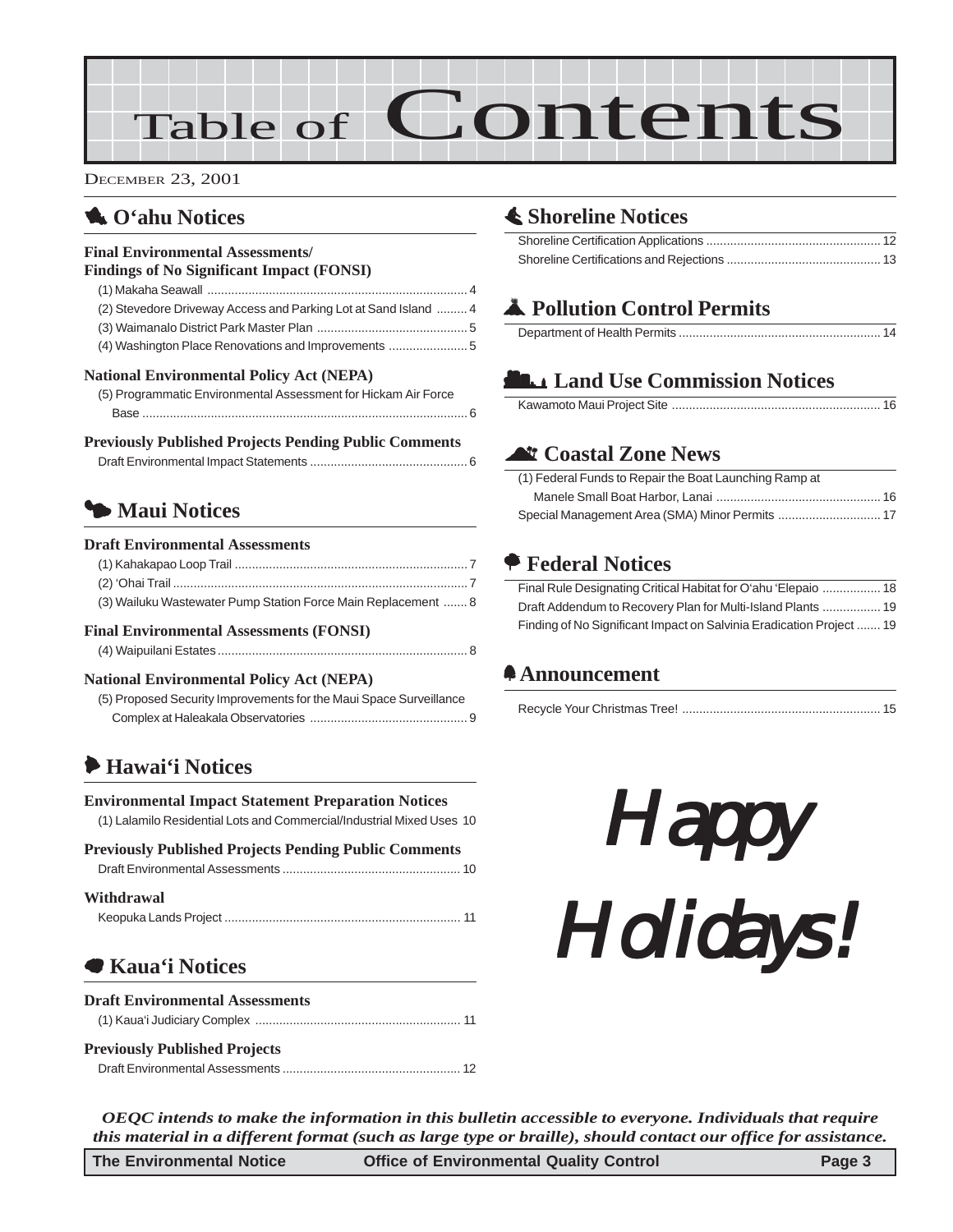# Table of Contents

DECEMBER 23, 2001

## 1 **O'ahu Notices**

#### **Final Environmental Assessments/ Findings of No Significant Impact (FONSI)** (1) Makaha Seawall [............................................................................ 4](#page-3-0) [\(2\) Stevedore Driveway Access and Parking Lot at Sand Island ......... 4](#page-3-0) [\(3\) Waimanalo District Park Master Plan ............................................ 5](#page-4-0) [\(4\) Washington Place Renovations and Improvements](#page-4-0) ....................... 5 **National Environmental Policy Act (NEPA)** [\(5\) Programmatic Environmental Assessment for Hickam Air Force](#page-5-0) Base [............................................................................................... 6](#page-5-0) **Previously Published Projects Pending Public Comments**

## 3 **Maui Notices**

#### **Draft Environmental Assessments**

| (3) Wailuku Wastewater Pump Station Force Main Replacement  8 |
|---------------------------------------------------------------|
|                                                               |
|                                                               |
|                                                               |

**Final Environmental Assessments (FONSI)**

#### **National Environmental Policy Act (NEPA)**

| (5) Proposed Security Improvements for the Maui Space Surveillance |  |
|--------------------------------------------------------------------|--|
|                                                                    |  |

[\(4\) Waipuilani Estates......................................................................... 8](#page-7-0)

### 6 **Hawai'i Notices**

**Environmental Impact Statement Preparation Notices** [\(1\) Lalamilo Residential Lots and Commercial/Industrial Mixed Uses 10](#page-9-0)

#### **Previously Published Projects Pending Public Comments**

|--|--|

#### **Withdrawal**

|--|--|

## 7 **[Kaua'i Notices](#page-10-0)**

| <b>Draft Environmental Assessments</b> |  |
|----------------------------------------|--|
|                                        |  |
| <b>Previously Published Projects</b>   |  |
|                                        |  |

## s **Shoreline Notices**

## V **Pollution Control Permits**

## **LANDING Commission Notices**

## ^ **Coastal Zone News**

| (1) Federal Funds to Repair the Boat Launching Ramp at |  |
|--------------------------------------------------------|--|
|                                                        |  |
|                                                        |  |

## A **Federal Notices**

| Final Rule Designating Critical Habitat for O'ahu 'Elepaio  18       |  |
|----------------------------------------------------------------------|--|
| Draft Addendum to Recovery Plan for Multi-Island Plants  19          |  |
| Finding of No Significant Impact on Salvinia Eradication Project  19 |  |

## f **Announcement**

|--|--|--|

Happy Happy Holidays! Holidays! Holidays!

*OEQC intends to make the information in this bulletin accessible to everyone. Individuals that require this material in a different format (such as large type or braille), should contact our office for assistance.*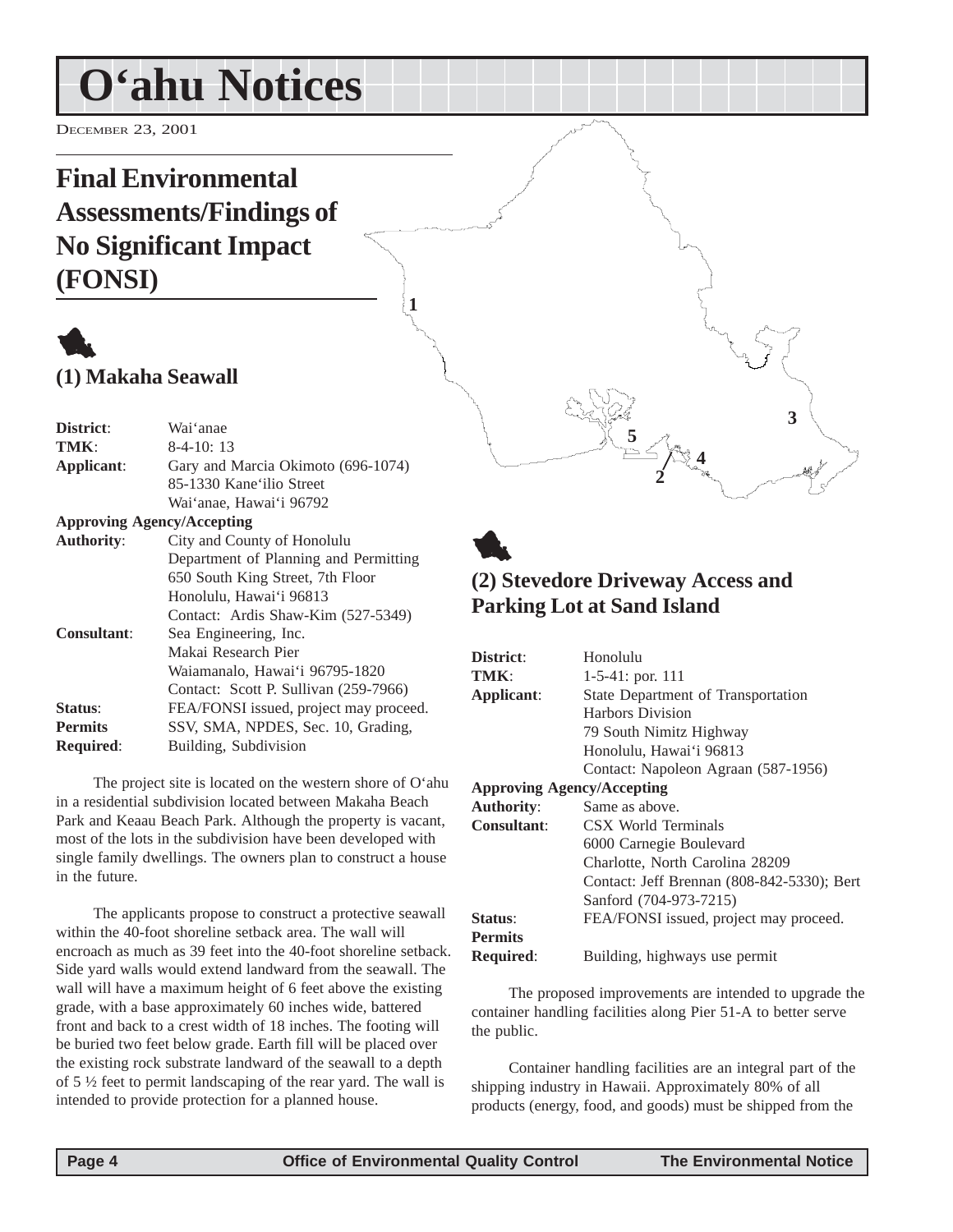## <span id="page-3-0"></span>**O'ahu Notices**

DECEMBER 23, 2001

## **Final Environmental Assessments/Findings of No Significant Impact (FONSI)**



| District:                         | Wai'anae                               |
|-----------------------------------|----------------------------------------|
| TMK:                              | $8-4-10:13$                            |
| Applicant:                        | Gary and Marcia Okimoto (696-1074)     |
|                                   | 85-1330 Kane'ilio Street               |
|                                   | Wai'anae, Hawai'i 96792                |
| <b>Approving Agency/Accepting</b> |                                        |
| <b>Authority:</b>                 | City and County of Honolulu            |
|                                   | Department of Planning and Permitting  |
|                                   | 650 South King Street, 7th Floor       |
|                                   | Honolulu, Hawai'i 96813                |
|                                   | Contact: Ardis Shaw-Kim (527-5349)     |
| <b>Consultant:</b>                | Sea Engineering, Inc.                  |
|                                   | Makai Research Pier                    |
|                                   | Waiamanalo, Hawai'i 96795-1820         |
|                                   | Contact: Scott P. Sullivan (259-7966)  |
| Status:                           | FEA/FONSI issued, project may proceed. |
| <b>Permits</b>                    | SSV, SMA, NPDES, Sec. 10, Grading,     |
| Required:                         | Building, Subdivision                  |

The project site is located on the western shore of O'ahu in a residential subdivision located between Makaha Beach Park and Keaau Beach Park. Although the property is vacant, most of the lots in the subdivision have been developed with single family dwellings. The owners plan to construct a house in the future.

The applicants propose to construct a protective seawall within the 40-foot shoreline setback area. The wall will encroach as much as 39 feet into the 40-foot shoreline setback. Side yard walls would extend landward from the seawall. The wall will have a maximum height of 6 feet above the existing grade, with a base approximately 60 inches wide, battered front and back to a crest width of 18 inches. The footing will be buried two feet below grade. Earth fill will be placed over the existing rock substrate landward of the seawall to a depth of 5 ½ feet to permit landscaping of the rear yard. The wall is intended to provide protection for a planned house.



**1**

## **(2) Stevedore Driveway Access and Parking Lot at Sand Island**

**5**

**2**

**4**

**3**

| District:                         | Honolulu                                   |
|-----------------------------------|--------------------------------------------|
| TMK:                              | $1-5-41$ : por. 111                        |
| Applicant:                        | State Department of Transportation         |
|                                   | Harbors Division                           |
|                                   | 79 South Nimitz Highway                    |
|                                   | Honolulu, Hawai'i 96813                    |
|                                   | Contact: Napoleon Agraan (587-1956)        |
| <b>Approving Agency/Accepting</b> |                                            |
| <b>Authority:</b>                 | Same as above.                             |
| <b>Consultant:</b>                | CSX World Terminals                        |
|                                   | 6000 Carnegie Boulevard                    |
|                                   | Charlotte, North Carolina 28209            |
|                                   | Contact: Jeff Brennan (808-842-5330); Bert |
|                                   | Sanford (704-973-7215)                     |
| Status:                           | FEA/FONSI issued, project may proceed.     |
| <b>Permits</b>                    |                                            |
| <b>Required:</b>                  | Building, highways use permit              |

The proposed improvements are intended to upgrade the container handling facilities along Pier 51-A to better serve the public.

Container handling facilities are an integral part of the shipping industry in Hawaii. Approximately 80% of all products (energy, food, and goods) must be shipped from the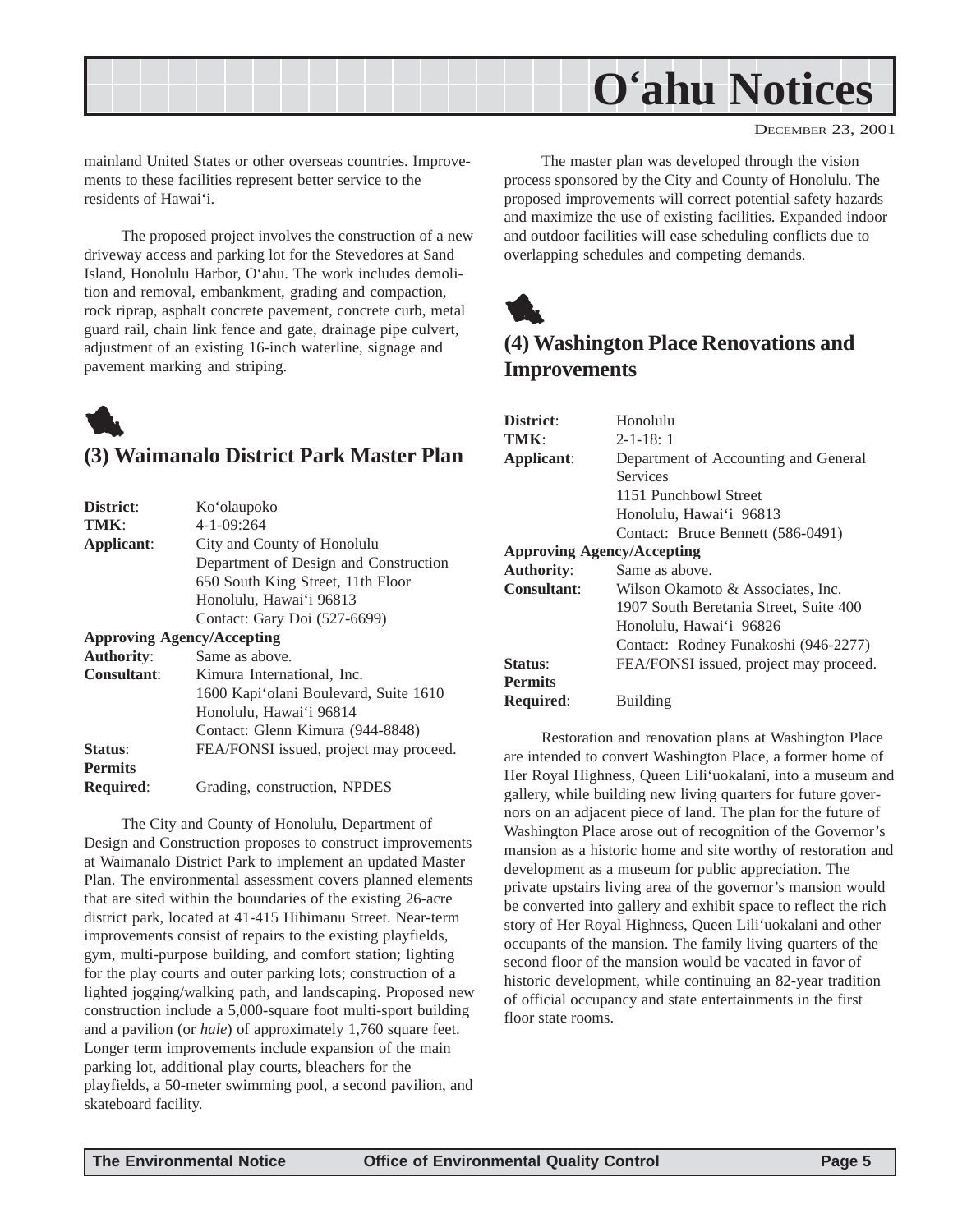<span id="page-4-0"></span>

DECEMBER 23, 2001

mainland United States or other overseas countries. Improvements to these facilities represent better service to the residents of Hawai'i.

The proposed project involves the construction of a new driveway access and parking lot for the Stevedores at Sand Island, Honolulu Harbor, O'ahu. The work includes demolition and removal, embankment, grading and compaction, rock riprap, asphalt concrete pavement, concrete curb, metal guard rail, chain link fence and gate, drainage pipe culvert, adjustment of an existing 16-inch waterline, signage and pavement marking and striping.

## 1 **(3) Waimanalo District Park Master Plan**

| District:                         | Ko'olaupoko                            |
|-----------------------------------|----------------------------------------|
| TMK:                              | $4 - 1 - 09:264$                       |
| Applicant:                        | City and County of Honolulu            |
|                                   | Department of Design and Construction  |
|                                   | 650 South King Street, 11th Floor      |
|                                   | Honolulu, Hawai'i 96813                |
|                                   | Contact: Gary Doi (527-6699)           |
| <b>Approving Agency/Accepting</b> |                                        |
| <b>Authority:</b>                 | Same as above.                         |
| <b>Consultant:</b>                | Kimura International, Inc.             |
|                                   | 1600 Kapi'olani Boulevard, Suite 1610  |
|                                   | Honolulu, Hawai'i 96814                |
|                                   | Contact: Glenn Kimura (944-8848)       |
| Status:                           | FEA/FONSI issued, project may proceed. |
| <b>Permits</b>                    |                                        |
| <b>Required:</b>                  | Grading, construction, NPDES           |

The City and County of Honolulu, Department of Design and Construction proposes to construct improvements at Waimanalo District Park to implement an updated Master Plan. The environmental assessment covers planned elements that are sited within the boundaries of the existing 26-acre district park, located at 41-415 Hihimanu Street. Near-term improvements consist of repairs to the existing playfields, gym, multi-purpose building, and comfort station; lighting for the play courts and outer parking lots; construction of a lighted jogging/walking path, and landscaping. Proposed new construction include a 5,000-square foot multi-sport building and a pavilion (or *hale*) of approximately 1,760 square feet. Longer term improvements include expansion of the main parking lot, additional play courts, bleachers for the playfields, a 50-meter swimming pool, a second pavilion, and skateboard facility.

The master plan was developed through the vision process sponsored by the City and County of Honolulu. The proposed improvements will correct potential safety hazards and maximize the use of existing facilities. Expanded indoor and outdoor facilities will ease scheduling conflicts due to overlapping schedules and competing demands.



## **(4) Washington Place Renovations and Improvements**

| District:                         | Honolulu                               |
|-----------------------------------|----------------------------------------|
| TMK:                              | $2 - 1 - 18:1$                         |
| Applicant:                        | Department of Accounting and General   |
|                                   | Services                               |
|                                   | 1151 Punchbowl Street                  |
|                                   | Honolulu, Hawai'i 96813                |
|                                   | Contact: Bruce Bennett (586-0491)      |
| <b>Approving Agency/Accepting</b> |                                        |
| <b>Authority:</b>                 | Same as above.                         |
| Consultant:                       | Wilson Okamoto & Associates, Inc.      |
|                                   | 1907 South Beretania Street, Suite 400 |
|                                   | Honolulu, Hawai'i 96826                |
|                                   | Contact: Rodney Funakoshi (946-2277)   |
| Status:                           | FEA/FONSI issued, project may proceed. |
| <b>Permits</b>                    |                                        |
| <b>Required:</b>                  | <b>Building</b>                        |
|                                   |                                        |

Restoration and renovation plans at Washington Place are intended to convert Washington Place, a former home of Her Royal Highness, Queen Lili'uokalani, into a museum and gallery, while building new living quarters for future governors on an adjacent piece of land. The plan for the future of Washington Place arose out of recognition of the Governor's mansion as a historic home and site worthy of restoration and development as a museum for public appreciation. The private upstairs living area of the governor's mansion would be converted into gallery and exhibit space to reflect the rich story of Her Royal Highness, Queen Lili'uokalani and other occupants of the mansion. The family living quarters of the second floor of the mansion would be vacated in favor of historic development, while continuing an 82-year tradition of official occupancy and state entertainments in the first floor state rooms.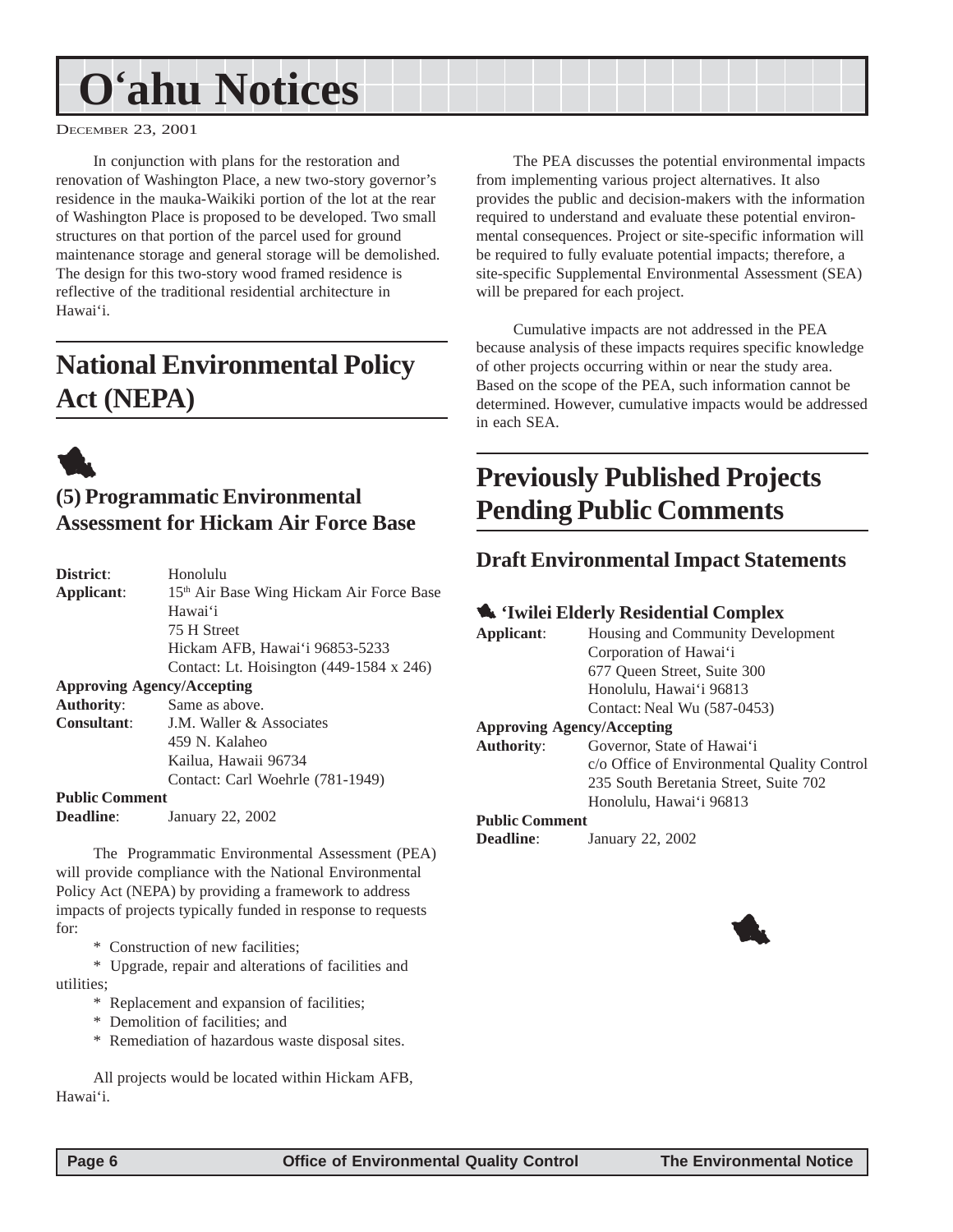## <span id="page-5-0"></span>**O'ahu Notices**

DECEMBER 23, 2001

In conjunction with plans for the restoration and renovation of Washington Place, a new two-story governor's residence in the mauka-Waikiki portion of the lot at the rear of Washington Place is proposed to be developed. Two small structures on that portion of the parcel used for ground maintenance storage and general storage will be demolished. The design for this two-story wood framed residence is reflective of the traditional residential architecture in Hawai'i.

## **National Environmental Policy Act (NEPA)**



## **(5) Programmatic Environmental Assessment for Hickam Air Force Base**

| District:                         | Honolulu                                 |
|-----------------------------------|------------------------------------------|
| Applicant:                        | 15th Air Base Wing Hickam Air Force Base |
|                                   | Hawai'i                                  |
|                                   | 75 H Street                              |
|                                   | Hickam AFB, Hawai'i 96853-5233           |
|                                   | Contact: Lt. Hoisington (449-1584 x 246) |
| <b>Approving Agency/Accepting</b> |                                          |
| <b>Authority:</b>                 | Same as above.                           |
| <b>Consultant:</b>                | <b>J.M. Waller &amp; Associates</b>      |
|                                   | 459 N. Kalaheo                           |
|                                   | Kailua, Hawaii 96734                     |
|                                   | Contact: Carl Woehrle (781-1949)         |
| <b>Public Comment</b>             |                                          |
| Deadline:                         | January 22, 2002                         |

The Programmatic Environmental Assessment (PEA) will provide compliance with the National Environmental Policy Act (NEPA) by providing a framework to address impacts of projects typically funded in response to requests for:

\* Construction of new facilities;

\* Upgrade, repair and alterations of facilities and utilities;

- \* Replacement and expansion of facilities;
- \* Demolition of facilities; and
- \* Remediation of hazardous waste disposal sites.

All projects would be located within Hickam AFB, Hawai'i.

The PEA discusses the potential environmental impacts from implementing various project alternatives. It also provides the public and decision-makers with the information required to understand and evaluate these potential environmental consequences. Project or site-specific information will be required to fully evaluate potential impacts; therefore, a site-specific Supplemental Environmental Assessment (SEA) will be prepared for each project.

Cumulative impacts are not addressed in the PEA because analysis of these impacts requires specific knowledge of other projects occurring within or near the study area. Based on the scope of the PEA, such information cannot be determined. However, cumulative impacts would be addressed in each SEA.

## **Previously Published Projects Pending Public Comments**

### **Draft Environmental Impact Statements**

#### 1 **'Iwilei Elderly Residential Complex**

| Applicant:        | Housing and Community Development           |
|-------------------|---------------------------------------------|
|                   | Corporation of Hawai'i                      |
|                   | 677 Oueen Street, Suite 300                 |
|                   | Honolulu, Hawai'i 96813                     |
|                   | Contact: Neal Wu (587-0453)                 |
|                   | <b>Approving Agency/Accepting</b>           |
| <b>Authority:</b> | Governor, State of Hawai'i                  |
|                   | c/o Office of Environmental Quality Control |
|                   | 235 South Beretania Street, Suite 702       |
|                   | Honolulu, Hawai'i 96813                     |
|                   |                                             |

#### **Public Comment**

**Deadline**: January 22, 2002

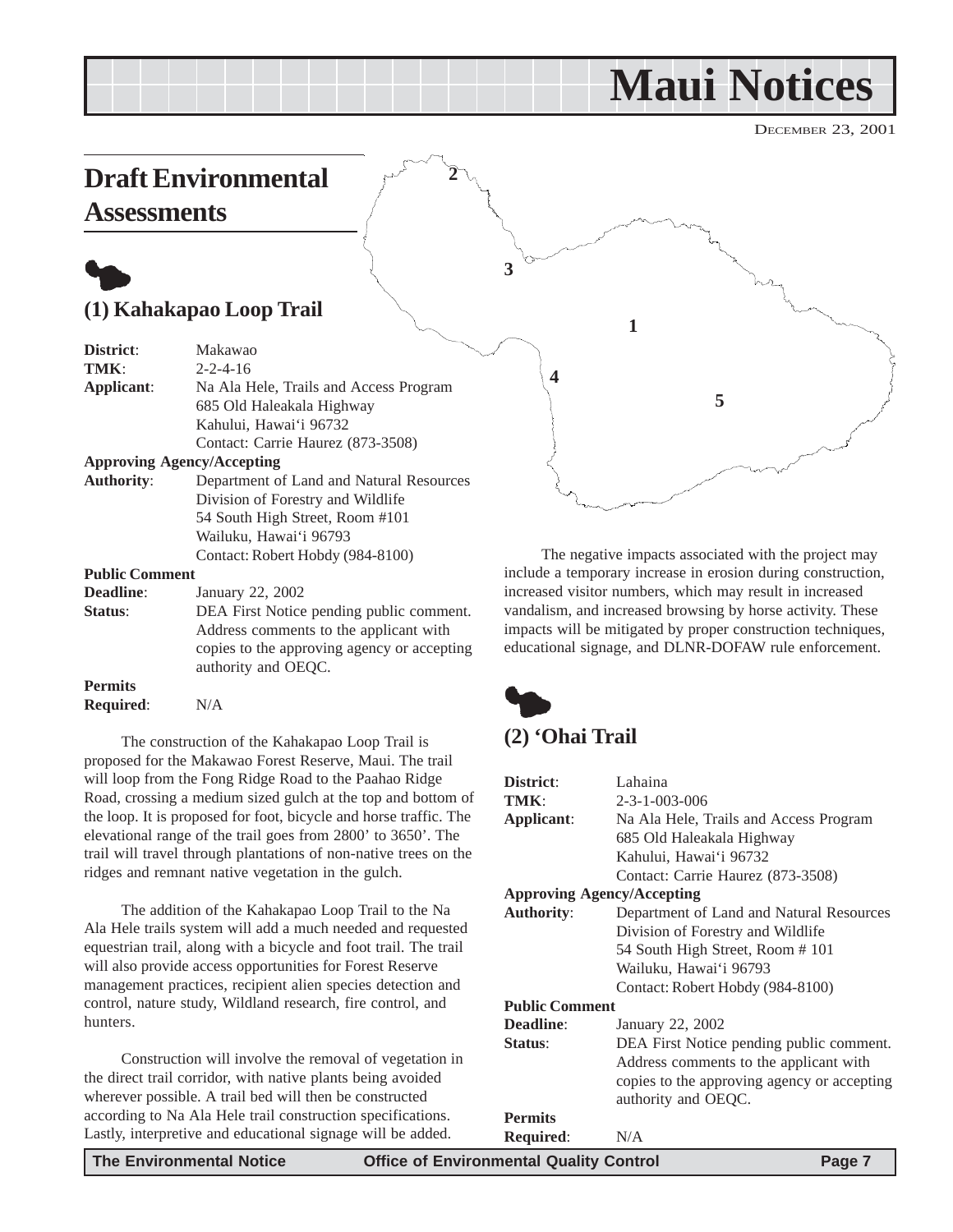## **Maui Notices**

DECEMBER 23, 2001

## <span id="page-6-0"></span>**Draft Environmental Assessments**

## $\bullet$ **(1) Kahakapao Loop Trail**

| District:             | Makawao                                     |
|-----------------------|---------------------------------------------|
| TMK:                  | $2 - 2 - 4 - 16$                            |
| Applicant:            | Na Ala Hele, Trails and Access Program      |
|                       | 685 Old Haleakala Highway                   |
|                       | Kahului, Hawai'i 96732                      |
|                       | Contact: Carrie Haurez (873-3508)           |
|                       | <b>Approving Agency/Accepting</b>           |
| <b>Authority:</b>     | Department of Land and Natural Resources    |
|                       | Division of Forestry and Wildlife           |
|                       | 54 South High Street, Room #101             |
|                       | Wailuku, Hawai'i 96793                      |
|                       | Contact: Robert Hobdy (984-8100)            |
| <b>Public Comment</b> |                                             |
| <b>Deadline:</b>      | January 22, 2002                            |
| Status:               | DEA First Notice pending public comment.    |
|                       | Address comments to the applicant with      |
|                       | copies to the approving agency or accepting |

**Permits**

**Required**: N/A

The construction of the Kahakapao Loop Trail is proposed for the Makawao Forest Reserve, Maui. The trail will loop from the Fong Ridge Road to the Paahao Ridge Road, crossing a medium sized gulch at the top and bottom of the loop. It is proposed for foot, bicycle and horse traffic. The elevational range of the trail goes from 2800' to 3650'. The trail will travel through plantations of non-native trees on the ridges and remnant native vegetation in the gulch.

authority and OEQC.

The addition of the Kahakapao Loop Trail to the Na Ala Hele trails system will add a much needed and requested equestrian trail, along with a bicycle and foot trail. The trail will also provide access opportunities for Forest Reserve management practices, recipient alien species detection and control, nature study, Wildland research, fire control, and hunters.

Construction will involve the removal of vegetation in the direct trail corridor, with native plants being avoided wherever possible. A trail bed will then be constructed according to Na Ala Hele trail construction specifications. Lastly, interpretive and educational signage will be added.

**4 5**

**1**

The negative impacts associated with the project may include a temporary increase in erosion during construction, increased visitor numbers, which may result in increased vandalism, and increased browsing by horse activity. These impacts will be mitigated by proper construction techniques, educational signage, and DLNR-DOFAW rule enforcement.



**3**

**2**

## **(2) 'Ohai Trail**

| District:                         | Lahaina                                     |
|-----------------------------------|---------------------------------------------|
| TMK:                              | $2 - 3 - 1 - 003 - 006$                     |
| Applicant:                        | Na Ala Hele, Trails and Access Program      |
|                                   | 685 Old Haleakala Highway                   |
|                                   | Kahului, Hawai'i 96732                      |
|                                   | Contact: Carrie Haurez (873-3508)           |
| <b>Approving Agency/Accepting</b> |                                             |
| <b>Authority:</b>                 | Department of Land and Natural Resources    |
|                                   | Division of Forestry and Wildlife           |
|                                   | 54 South High Street, Room #101             |
|                                   | Wailuku, Hawai'i 96793                      |
|                                   | Contact: Robert Hobdy (984-8100)            |
| <b>Public Comment</b>             |                                             |
| Deadline:                         | January 22, 2002                            |
| Status:                           | DEA First Notice pending public comment.    |
|                                   | Address comments to the applicant with      |
|                                   | copies to the approving agency or accepting |
|                                   | authority and OEQC.                         |
| <b>Permits</b>                    |                                             |
| <b>Required:</b>                  | N/A                                         |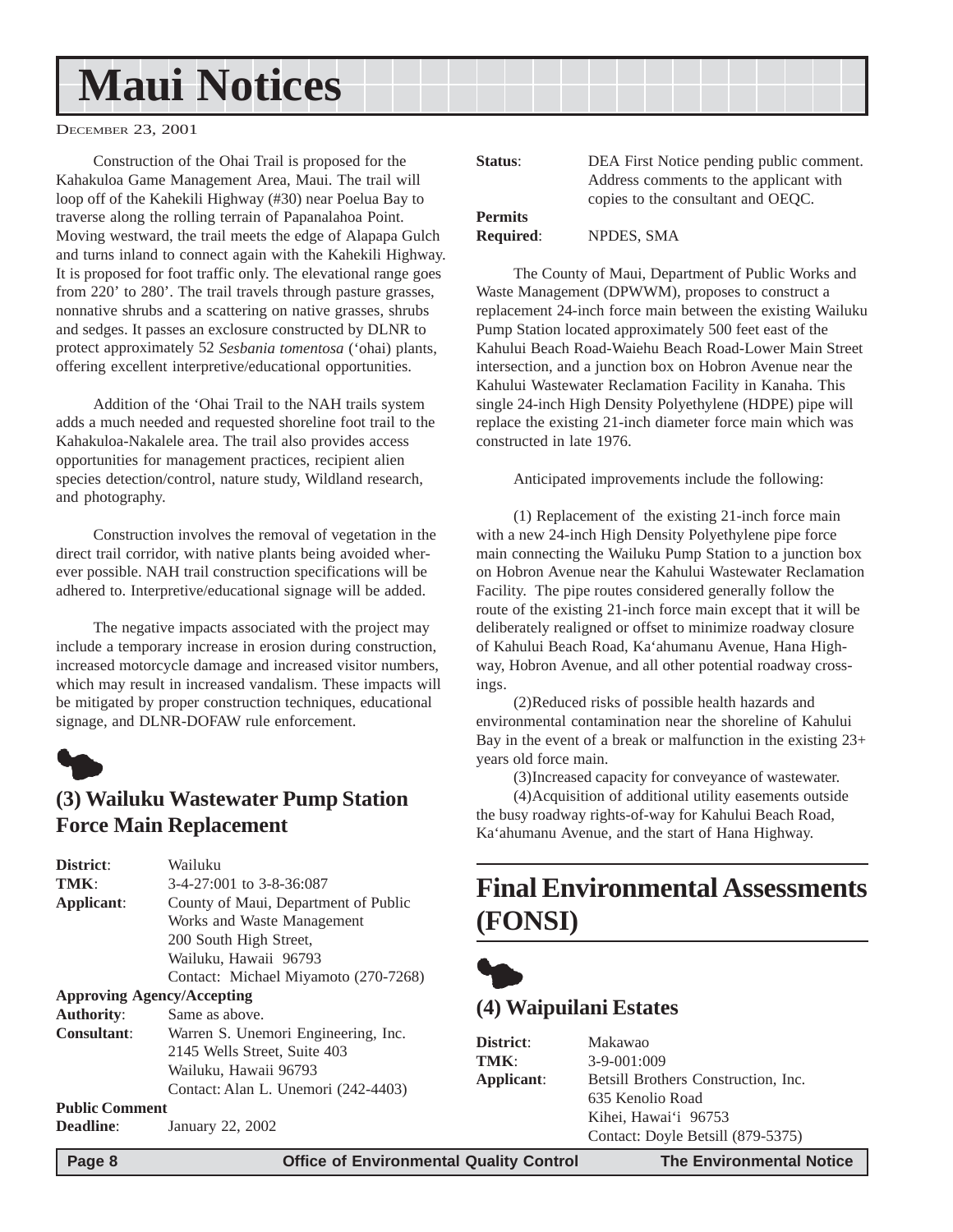## <span id="page-7-0"></span>**Maui Notices**

DECEMBER 23, 2001

Construction of the Ohai Trail is proposed for the Kahakuloa Game Management Area, Maui. The trail will loop off of the Kahekili Highway (#30) near Poelua Bay to traverse along the rolling terrain of Papanalahoa Point. Moving westward, the trail meets the edge of Alapapa Gulch and turns inland to connect again with the Kahekili Highway. It is proposed for foot traffic only. The elevational range goes from 220' to 280'. The trail travels through pasture grasses, nonnative shrubs and a scattering on native grasses, shrubs and sedges. It passes an exclosure constructed by DLNR to protect approximately 52 *Sesbania tomentosa* ('ohai) plants, offering excellent interpretive/educational opportunities.

Addition of the 'Ohai Trail to the NAH trails system adds a much needed and requested shoreline foot trail to the Kahakuloa-Nakalele area. The trail also provides access opportunities for management practices, recipient alien species detection/control, nature study, Wildland research, and photography.

Construction involves the removal of vegetation in the direct trail corridor, with native plants being avoided wherever possible. NAH trail construction specifications will be adhered to. Interpretive/educational signage will be added.

The negative impacts associated with the project may include a temporary increase in erosion during construction, increased motorcycle damage and increased visitor numbers, which may result in increased vandalism. These impacts will be mitigated by proper construction techniques, educational signage, and DLNR-DOFAW rule enforcement.



### **(3) Wailuku Wastewater Pump Station Force Main Replacement**

| Wailuku                              |
|--------------------------------------|
| $3-4-27:001$ to $3-8-36:087$         |
| County of Maui, Department of Public |
| Works and Waste Management           |
| 200 South High Street,               |
| Wailuku, Hawaii 96793                |
| Contact: Michael Miyamoto (270-7268) |
| <b>Approving Agency/Accepting</b>    |
| Same as above.                       |
| Warren S. Unemori Engineering, Inc.  |
| 2145 Wells Street, Suite 403         |
| Wailuku, Hawaii 96793                |
| Contact: Alan L. Unemori (242-4403)  |
| <b>Public Comment</b>                |
| January 22, 2002                     |
|                                      |

| Status:          | DEA First Notice pending public comment. |
|------------------|------------------------------------------|
|                  | Address comments to the applicant with   |
|                  | copies to the consultant and OEQC.       |
| <b>Permits</b>   |                                          |
| <b>Required:</b> | NPDES, SMA                               |

The County of Maui, Department of Public Works and Waste Management (DPWWM), proposes to construct a replacement 24-inch force main between the existing Wailuku Pump Station located approximately 500 feet east of the Kahului Beach Road-Waiehu Beach Road-Lower Main Street intersection, and a junction box on Hobron Avenue near the Kahului Wastewater Reclamation Facility in Kanaha. This single 24-inch High Density Polyethylene (HDPE) pipe will replace the existing 21-inch diameter force main which was constructed in late 1976.

Anticipated improvements include the following:

(1) Replacement of the existing 21-inch force main with a new 24-inch High Density Polyethylene pipe force main connecting the Wailuku Pump Station to a junction box on Hobron Avenue near the Kahului Wastewater Reclamation Facility. The pipe routes considered generally follow the route of the existing 21-inch force main except that it will be deliberately realigned or offset to minimize roadway closure of Kahului Beach Road, Ka'ahumanu Avenue, Hana Highway, Hobron Avenue, and all other potential roadway crossings.

(2)Reduced risks of possible health hazards and environmental contamination near the shoreline of Kahului Bay in the event of a break or malfunction in the existing 23+ years old force main.

(3)Increased capacity for conveyance of wastewater. (4)Acquisition of additional utility easements outside the busy roadway rights-of-way for Kahului Beach Road, Ka'ahumanu Avenue, and the start of Hana Highway.

## **Final Environmental Assessments (FONSI)**



### **(4) Waipuilani Estates**

| District:  | Makawao                             |
|------------|-------------------------------------|
| TMK:       | $3-9-001:009$                       |
| Applicant: | Betsill Brothers Construction, Inc. |
|            | 635 Kenolio Road                    |
|            | Kihei, Hawai'i 96753                |
|            | Contact: Doyle Betsill (879-5375)   |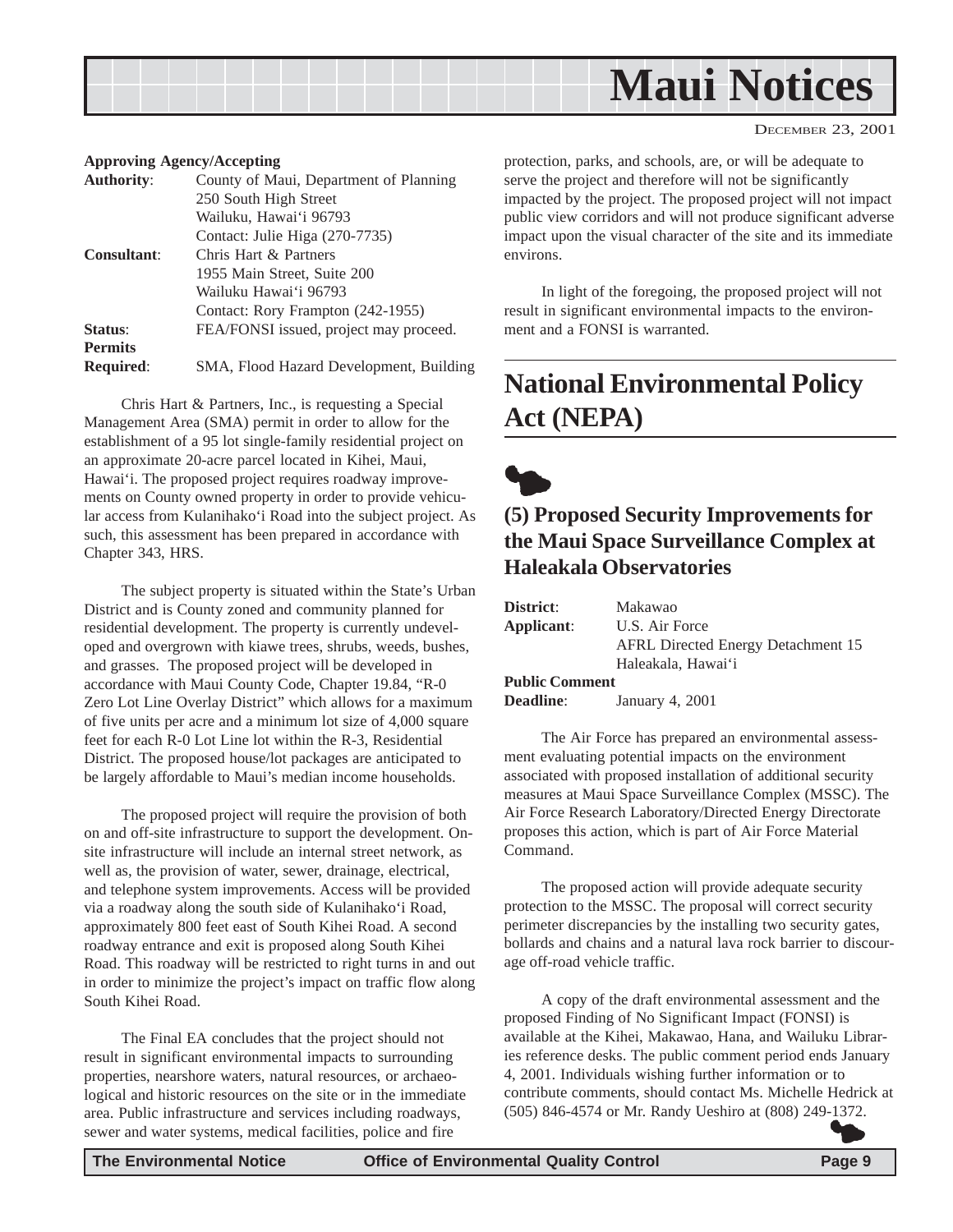<span id="page-8-0"></span>

 $\bullet$ 

#### DECEMBER 23, 2001

#### **Approving Agency/Accepting**

| <b>Authority:</b>  | County of Maui, Department of Planning  |
|--------------------|-----------------------------------------|
|                    | 250 South High Street                   |
|                    | Wailuku, Hawai'i 96793                  |
|                    | Contact: Julie Higa (270-7735)          |
| <b>Consultant:</b> | Chris Hart & Partners                   |
|                    | 1955 Main Street, Suite 200             |
|                    | Wailuku Hawai'i 96793                   |
|                    | Contact: Rory Frampton (242-1955)       |
| Status:            | FEA/FONSI issued, project may proceed.  |
| <b>Permits</b>     |                                         |
| <b>Required:</b>   | SMA, Flood Hazard Development, Building |

Chris Hart & Partners, Inc., is requesting a Special Management Area (SMA) permit in order to allow for the establishment of a 95 lot single-family residential project on an approximate 20-acre parcel located in Kihei, Maui, Hawai'i. The proposed project requires roadway improvements on County owned property in order to provide vehicular access from Kulanihako'i Road into the subject project. As such, this assessment has been prepared in accordance with Chapter 343, HRS.

The subject property is situated within the State's Urban District and is County zoned and community planned for residential development. The property is currently undeveloped and overgrown with kiawe trees, shrubs, weeds, bushes, and grasses. The proposed project will be developed in accordance with Maui County Code, Chapter 19.84, "R-0 Zero Lot Line Overlay District" which allows for a maximum of five units per acre and a minimum lot size of 4,000 square feet for each R-0 Lot Line lot within the R-3, Residential District. The proposed house/lot packages are anticipated to be largely affordable to Maui's median income households.

The proposed project will require the provision of both on and off-site infrastructure to support the development. Onsite infrastructure will include an internal street network, as well as, the provision of water, sewer, drainage, electrical, and telephone system improvements. Access will be provided via a roadway along the south side of Kulanihako'i Road, approximately 800 feet east of South Kihei Road. A second roadway entrance and exit is proposed along South Kihei Road. This roadway will be restricted to right turns in and out in order to minimize the project's impact on traffic flow along South Kihei Road.

The Final EA concludes that the project should not result in significant environmental impacts to surrounding properties, nearshore waters, natural resources, or archaeological and historic resources on the site or in the immediate area. Public infrastructure and services including roadways, sewer and water systems, medical facilities, police and fire

protection, parks, and schools, are, or will be adequate to serve the project and therefore will not be significantly impacted by the project. The proposed project will not impact public view corridors and will not produce significant adverse impact upon the visual character of the site and its immediate environs.

In light of the foregoing, the proposed project will not result in significant environmental impacts to the environment and a FONSI is warranted.

## **National Environmental Policy Act (NEPA)**

**(5) Proposed Security Improvements for the Maui Space Surveillance Complex at Haleakala Observatories**

| District:             | Makawao                                   |
|-----------------------|-------------------------------------------|
| Applicant:            | U.S. Air Force                            |
|                       | <b>AFRL</b> Directed Energy Detachment 15 |
|                       | Haleakala, Hawai'i                        |
| <b>Public Comment</b> |                                           |
| <b>Deadline:</b>      | January 4, 2001                           |

The Air Force has prepared an environmental assessment evaluating potential impacts on the environment associated with proposed installation of additional security measures at Maui Space Surveillance Complex (MSSC). The Air Force Research Laboratory/Directed Energy Directorate proposes this action, which is part of Air Force Material Command.

The proposed action will provide adequate security protection to the MSSC. The proposal will correct security perimeter discrepancies by the installing two security gates, bollards and chains and a natural lava rock barrier to discourage off-road vehicle traffic.

A copy of the draft environmental assessment and the proposed Finding of No Significant Impact (FONSI) is available at the Kihei, Makawao, Hana, and Wailuku Libraries reference desks. The public comment period ends January 4, 2001. Individuals wishing further information or to contribute comments, should contact Ms. Michelle Hedrick at (505) 846-4574 or Mr. Randy Ueshiro at (808) 249-1372.  $\bullet$ 

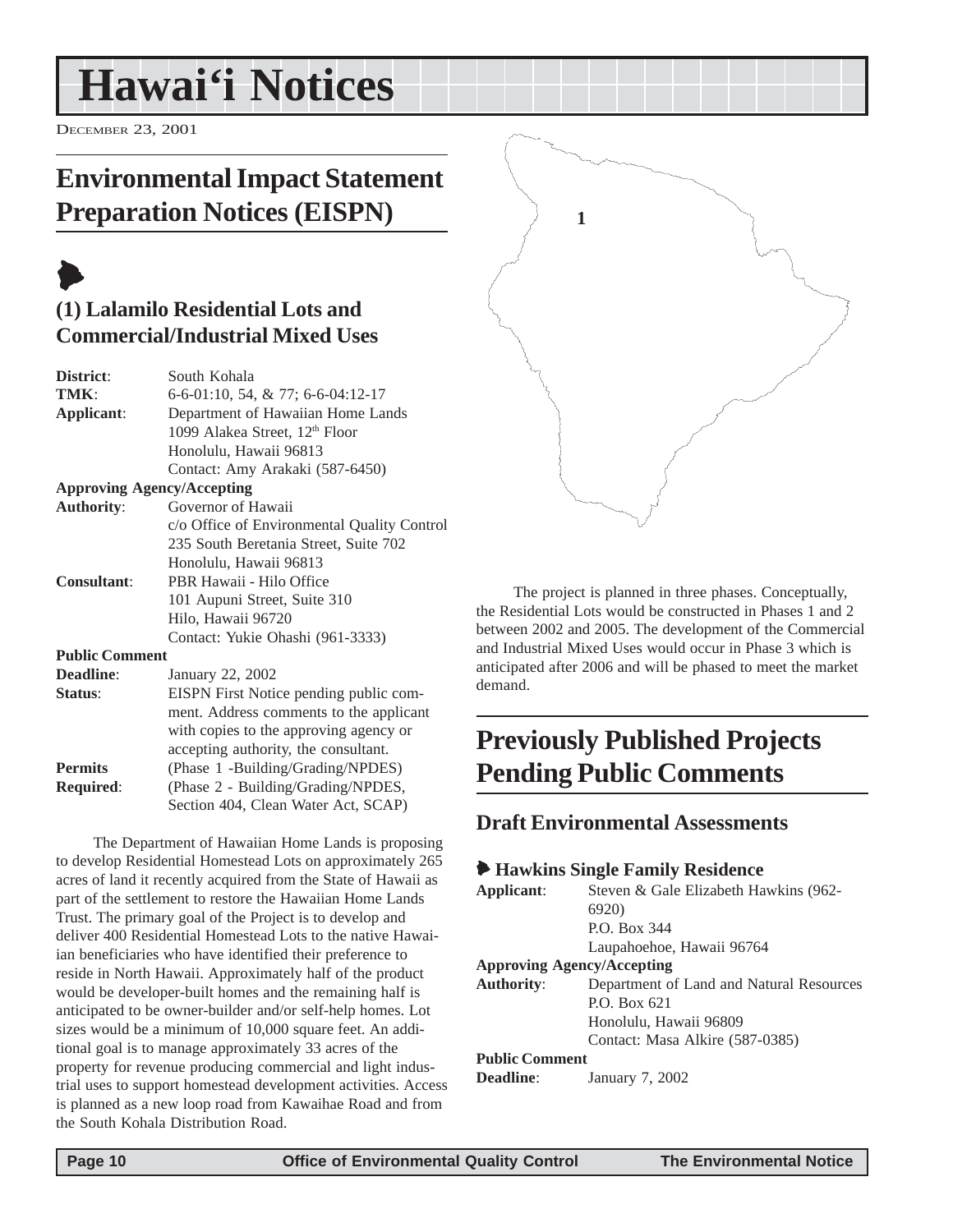## <span id="page-9-0"></span>**Hawai'i Notices**

DECEMBER 23, 2001

## **Environmental Impact Statement Preparation Notices (EISPN)**

## $\blacklozenge$

## **(1) Lalamilo Residential Lots and Commercial/Industrial Mixed Uses**

| District:             | South Kohala                                |
|-----------------------|---------------------------------------------|
| TMK:                  | 6-6-01:10, 54, & 77; 6-6-04:12-17           |
| Applicant:            | Department of Hawaiian Home Lands           |
|                       | 1099 Alakea Street, 12 <sup>th</sup> Floor  |
|                       | Honolulu, Hawaii 96813                      |
|                       | Contact: Amy Arakaki (587-6450)             |
|                       | <b>Approving Agency/Accepting</b>           |
| <b>Authority:</b>     | Governor of Hawaii                          |
|                       | c/o Office of Environmental Quality Control |
|                       | 235 South Beretania Street, Suite 702       |
|                       | Honolulu, Hawaii 96813                      |
| <b>Consultant:</b>    | PBR Hawaii - Hilo Office                    |
|                       | 101 Aupuni Street, Suite 310                |
|                       | Hilo, Hawaii 96720                          |
|                       | Contact: Yukie Ohashi (961-3333)            |
| <b>Public Comment</b> |                                             |
| Deadline:             | January 22, 2002                            |
| Status:               | EISPN First Notice pending public com-      |
|                       | ment. Address comments to the applicant     |
|                       | with copies to the approving agency or      |
|                       | accepting authority, the consultant.        |
| <b>Permits</b>        | (Phase 1 -Building/Grading/NPDES)           |
| Required:             | (Phase 2 - Building/Grading/NPDES,          |

The Department of Hawaiian Home Lands is proposing to develop Residential Homestead Lots on approximately 265 acres of land it recently acquired from the State of Hawaii as part of the settlement to restore the Hawaiian Home Lands Trust. The primary goal of the Project is to develop and deliver 400 Residential Homestead Lots to the native Hawaiian beneficiaries who have identified their preference to reside in North Hawaii. Approximately half of the product would be developer-built homes and the remaining half is anticipated to be owner-builder and/or self-help homes. Lot sizes would be a minimum of 10,000 square feet. An additional goal is to manage approximately 33 acres of the property for revenue producing commercial and light industrial uses to support homestead development activities. Access is planned as a new loop road from Kawaihae Road and from the South Kohala Distribution Road.

Section 404, Clean Water Act, SCAP)



The project is planned in three phases. Conceptually, the Residential Lots would be constructed in Phases 1 and 2 between 2002 and 2005. The development of the Commercial and Industrial Mixed Uses would occur in Phase 3 which is anticipated after 2006 and will be phased to meet the market demand.

## **Previously Published Projects Pending Public Comments**

#### **Draft Environmental Assessments**

#### 6 **Hawkins Single Family Residence**

| Applicant:                        | Steven & Gale Elizabeth Hawkins (962-    |
|-----------------------------------|------------------------------------------|
|                                   | <b>6920</b> )                            |
|                                   | P.O. Box 344                             |
|                                   | Laupahoehoe, Hawaii 96764                |
| <b>Approving Agency/Accepting</b> |                                          |
| <b>Authority:</b>                 | Department of Land and Natural Resources |
|                                   | $P.$ $O.$ $Box 621$                      |
|                                   | Honolulu, Hawaii 96809                   |
|                                   | Contact: Masa Alkire (587-0385)          |
| <b>Public Comment</b>             |                                          |
| Deadline:                         | January 7, 2002                          |
|                                   |                                          |
|                                   |                                          |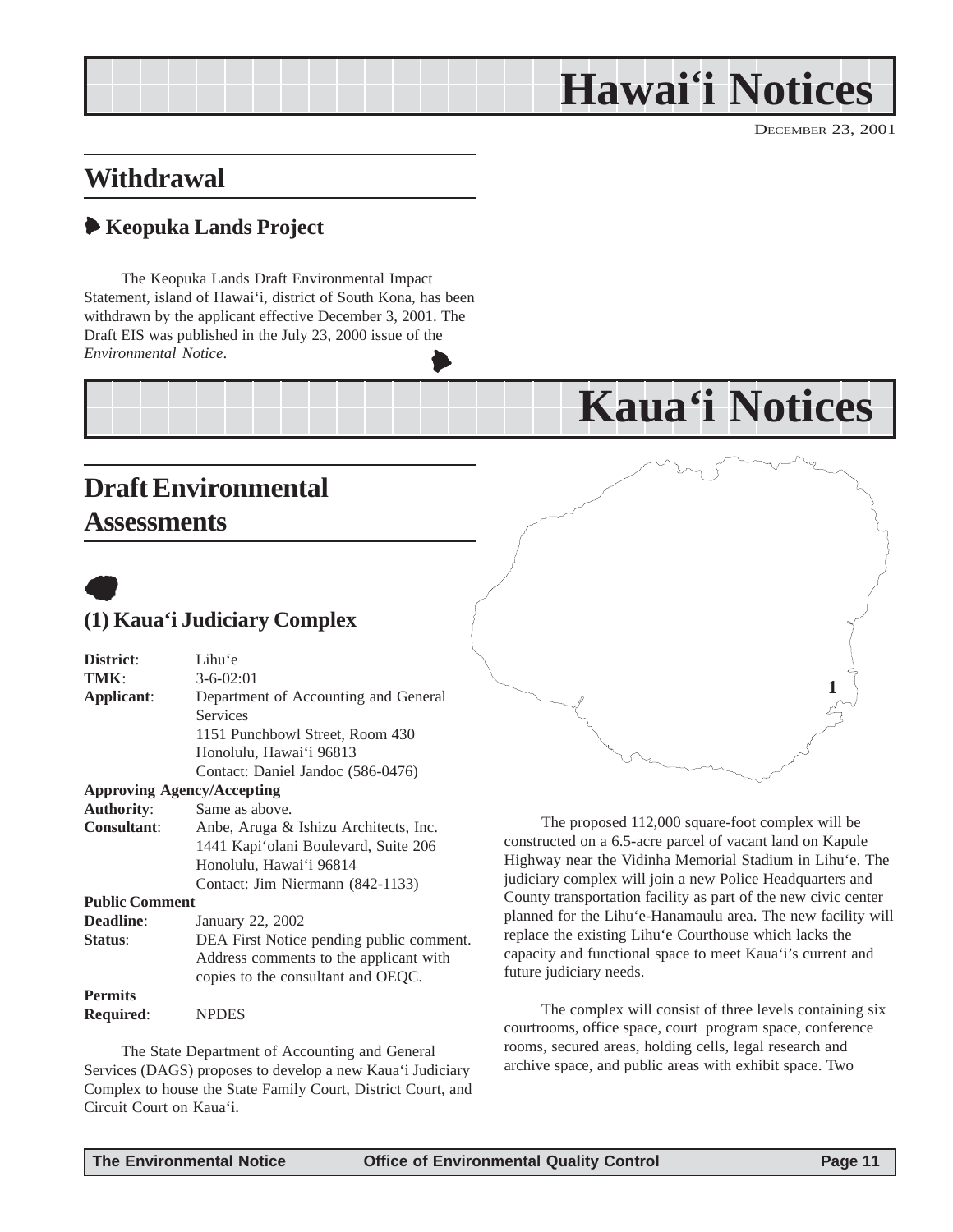## **Hawai'i Notices**

**Kaua'i Notices**

DECEMBER 23, 2001

## <span id="page-10-0"></span>**Withdrawal**

## 6 **Keopuka Lands Project**

The Keopuka Lands Draft Environmental Impact Statement, island of Hawai'i, district of South Kona, has been withdrawn by the applicant effective December 3, 2001. The Draft EIS was published in the July 23, 2000 issue of the *Environmental Notice*.  $\blacktriangleright$ 

## **Draft Environmental Assessments**



## **(1) Kaua'i Judiciary Complex**

| District:                         | Lihu'e                                   |
|-----------------------------------|------------------------------------------|
| TMK:                              | $3 - 6 - 02:01$                          |
| Applicant:                        | Department of Accounting and General     |
|                                   | Services                                 |
|                                   | 1151 Punchbowl Street, Room 430          |
|                                   | Honolulu, Hawai'i 96813                  |
|                                   | Contact: Daniel Jandoc (586-0476)        |
| <b>Approving Agency/Accepting</b> |                                          |
| <b>Authority:</b>                 | Same as above.                           |
| <b>Consultant:</b>                | Anbe, Aruga & Ishizu Architects, Inc.    |
|                                   | 1441 Kapi'olani Boulevard, Suite 206     |
|                                   | Honolulu, Hawai'i 96814                  |
|                                   | Contact: Jim Niermann (842-1133)         |
| <b>Public Comment</b>             |                                          |
| <b>Deadline:</b>                  | January 22, 2002                         |
| Status:                           | DEA First Notice pending public comment. |
|                                   | Address comments to the applicant with   |
|                                   | copies to the consultant and OEQC.       |
| <b>Permits</b>                    |                                          |
| <b>Required:</b>                  | <b>NPDES</b>                             |

The State Department of Accounting and General Services (DAGS) proposes to develop a new Kaua'i Judiciary Complex to house the State Family Court, District Court, and Circuit Court on Kaua'i.

The proposed 112,000 square-foot complex will be constructed on a 6.5-acre parcel of vacant land on Kapule Highway near the Vidinha Memorial Stadium in Lihu'e. The judiciary complex will join a new Police Headquarters and County transportation facility as part of the new civic center planned for the Lihu'e-Hanamaulu area. The new facility will replace the existing Lihu'e Courthouse which lacks the capacity and functional space to meet Kaua'i's current and future judiciary needs.

The complex will consist of three levels containing six courtrooms, office space, court program space, conference rooms, secured areas, holding cells, legal research and archive space, and public areas with exhibit space. Two

**1**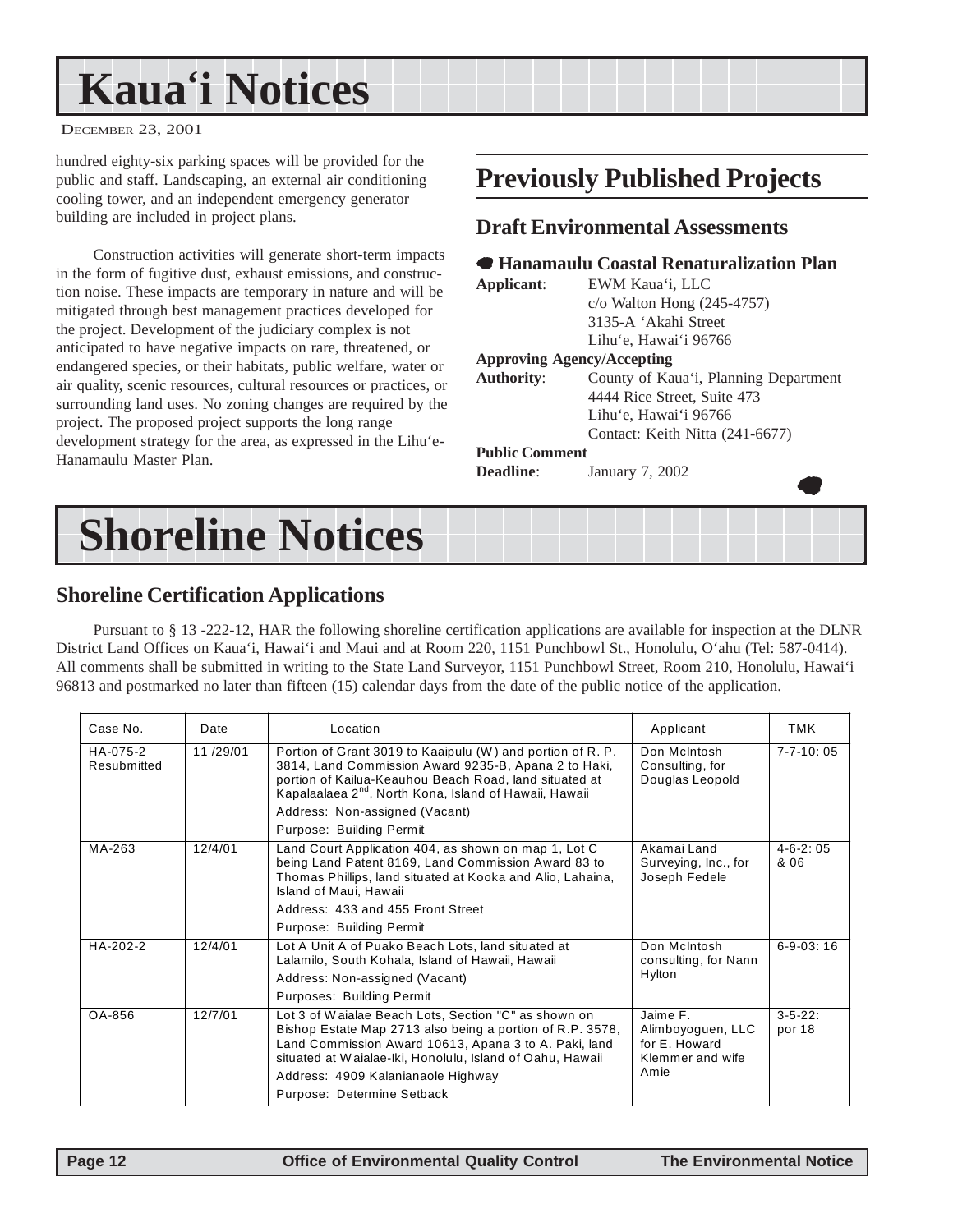## <span id="page-11-0"></span>**Kaua'i Notices**

DECEMBER 23, 2001

hundred eighty-six parking spaces will be provided for the public and staff. Landscaping, an external air conditioning cooling tower, and an independent emergency generator building are included in project plans.

Construction activities will generate short-term impacts in the form of fugitive dust, exhaust emissions, and construction noise. These impacts are temporary in nature and will be mitigated through best management practices developed for the project. Development of the judiciary complex is not anticipated to have negative impacts on rare, threatened, or endangered species, or their habitats, public welfare, water or air quality, scenic resources, cultural resources or practices, or surrounding land uses. No zoning changes are required by the project. The proposed project supports the long range development strategy for the area, as expressed in the Lihu'e-Hanamaulu Master Plan.

## **Previously Published Projects**

#### **Draft Environmental Assessments**

#### 7 **Hanamaulu Coastal Renaturalization Plan**

**Applicant**: EWM Kaua'i, LLC c/o Walton Hong (245-4757) 3135-A 'Akahi Street Lihu'e, Hawai'i 96766

#### **Approving Agency/Accepting**

**Authority**: County of Kaua'i, Planning Department 4444 Rice Street, Suite 473 Lihu'e, Hawai'i 96766 Contact: Keith Nitta (241-6677)

 $\bullet$ 

#### **Public Comment**

**Deadline**: January 7, 2002

## **Shoreline Notices**

#### **Shoreline Certification Applications**

Pursuant to § 13 -222-12, HAR the following shoreline certification applications are available for inspection at the DLNR District Land Offices on Kaua'i, Hawai'i and Maui and at Room 220, 1151 Punchbowl St., Honolulu, O'ahu (Tel: 587-0414). All comments shall be submitted in writing to the State Land Surveyor, 1151 Punchbowl Street, Room 210, Honolulu, Hawai'i 96813 and postmarked no later than fifteen (15) calendar days from the date of the public notice of the application.

| Case No.                | Date     | Location                                                                                                                                                                                                                                           | Applicant                                                          | TMK                      |
|-------------------------|----------|----------------------------------------------------------------------------------------------------------------------------------------------------------------------------------------------------------------------------------------------------|--------------------------------------------------------------------|--------------------------|
| HA-075-2<br>Resubmitted | 11/29/01 | Portion of Grant 3019 to Kaaipulu (W) and portion of R. P.<br>3814, Land Commission Award 9235-B, Apana 2 to Haki,<br>portion of Kailua-Keauhou Beach Road, land situated at<br>Kapalaalaea 2 <sup>nd</sup> , North Kona, Island of Hawaii, Hawaii | Don McIntosh<br>Consulting, for<br>Douglas Leopold                 | $7 - 7 - 10:05$          |
|                         |          | Address: Non-assigned (Vacant)                                                                                                                                                                                                                     |                                                                    |                          |
|                         |          | Purpose: Building Permit                                                                                                                                                                                                                           |                                                                    |                          |
| MA-263                  | 12/4/01  | Land Court Application 404, as shown on map 1, Lot C<br>being Land Patent 8169, Land Commission Award 83 to<br>Thomas Phillips, land situated at Kooka and Alio, Lahaina,<br>Island of Maui, Hawaii                                                | Akamai Land<br>Surveying, Inc., for<br>Joseph Fedele               | $4 - 6 - 2:05$<br>& 06   |
|                         |          | Address: 433 and 455 Front Street                                                                                                                                                                                                                  |                                                                    |                          |
|                         |          | Purpose: Building Permit                                                                                                                                                                                                                           |                                                                    |                          |
| HA-202-2                | 12/4/01  | Lot A Unit A of Puako Beach Lots, land situated at<br>Lalamilo, South Kohala, Island of Hawaii, Hawaii                                                                                                                                             | Don McIntosh<br>consulting, for Nann                               | $6 - 9 - 03:16$          |
|                         |          | Address: Non-assigned (Vacant)                                                                                                                                                                                                                     | Hylton                                                             |                          |
|                         |          | Purposes: Building Permit                                                                                                                                                                                                                          |                                                                    |                          |
| OA-856                  | 12/7/01  | Lot 3 of Waialae Beach Lots, Section "C" as shown on<br>Bishop Estate Map 2713 also being a portion of R.P. 3578,<br>Land Commission Award 10613, Apana 3 to A. Paki, land<br>situated at Waialae-Iki, Honolulu, Island of Oahu, Hawaii            | Jaime F.<br>Alimboyoguen, LLC<br>for E. Howard<br>Klemmer and wife | $3 - 5 - 22$ :<br>por 18 |
|                         |          | Address: 4909 Kalanianaole Highway                                                                                                                                                                                                                 | Amie                                                               |                          |
|                         |          | Purpose: Determine Setback                                                                                                                                                                                                                         |                                                                    |                          |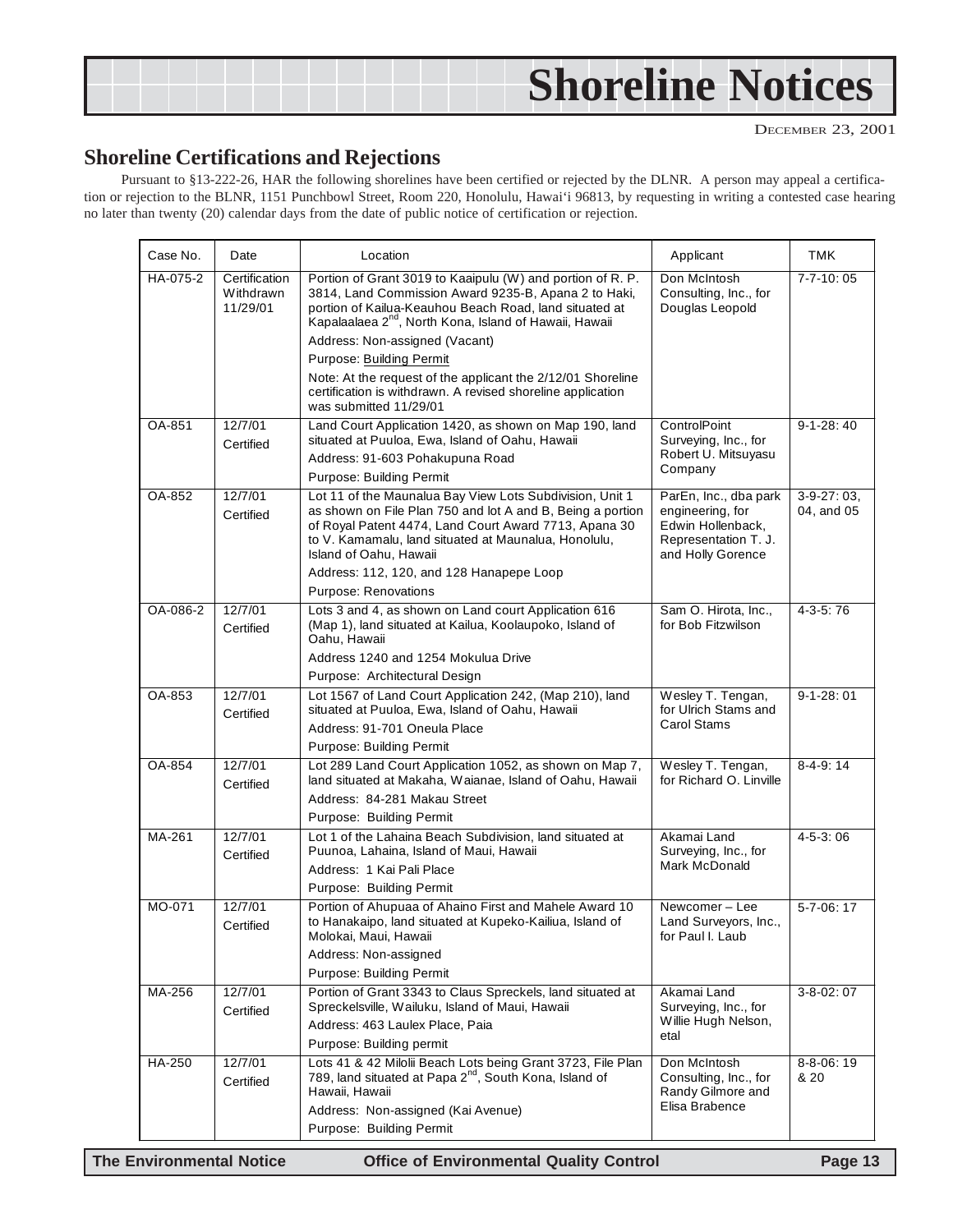<span id="page-12-0"></span>

#### **Shoreline Certifications and Rejections**

Pursuant to §13-222-26, HAR the following shorelines have been certified or rejected by the DLNR. A person may appeal a certification or rejection to the BLNR, 1151 Punchbowl Street, Room 220, Honolulu, Hawai'i 96813, by requesting in writing a contested case hearing no later than twenty (20) calendar days from the date of public notice of certification or rejection.

| Case No. | Date                                   | Location                                                                                                                                                                                                                                                                             | Applicant                                                                                                   | <b>TMK</b>                |
|----------|----------------------------------------|--------------------------------------------------------------------------------------------------------------------------------------------------------------------------------------------------------------------------------------------------------------------------------------|-------------------------------------------------------------------------------------------------------------|---------------------------|
| HA-075-2 | Certification<br>Withdrawn<br>11/29/01 | Portion of Grant 3019 to Kaaipulu (W) and portion of R. P.<br>3814, Land Commission Award 9235-B, Apana 2 to Haki,<br>portion of Kailua-Keauhou Beach Road, land situated at<br>Kapalaalaea 2 <sup>nd</sup> , North Kona, Island of Hawaii, Hawaii<br>Address: Non-assigned (Vacant) | Don McIntosh<br>Consulting, Inc., for<br>Douglas Leopold                                                    | $7 - 7 - 10:05$           |
|          |                                        | Purpose: Building Permit                                                                                                                                                                                                                                                             |                                                                                                             |                           |
|          |                                        | Note: At the request of the applicant the 2/12/01 Shoreline<br>certification is withdrawn. A revised shoreline application<br>was submitted 11/29/01                                                                                                                                 |                                                                                                             |                           |
| OA-851   | 12/7/01<br>Certified                   | Land Court Application 1420, as shown on Map 190, land<br>situated at Puuloa, Ewa, Island of Oahu, Hawaii                                                                                                                                                                            | ControlPoint<br>Surveying, Inc., for                                                                        | $9-1-28:40$               |
|          |                                        | Address: 91-603 Pohakupuna Road                                                                                                                                                                                                                                                      | Robert U. Mitsuyasu<br>Company                                                                              |                           |
|          |                                        | Purpose: Building Permit                                                                                                                                                                                                                                                             |                                                                                                             |                           |
| OA-852   | 12/7/01<br>Certified                   | Lot 11 of the Maunalua Bay View Lots Subdivision, Unit 1<br>as shown on File Plan 750 and lot A and B, Being a portion<br>of Royal Patent 4474, Land Court Award 7713, Apana 30<br>to V. Kamamalu, land situated at Maunalua, Honolulu,<br>Island of Oahu, Hawaii                    | ParEn, Inc., dba park<br>engineering, for<br>Edwin Hollenback,<br>Representation T. J.<br>and Holly Gorence | $3-9-27:03$<br>04, and 05 |
|          |                                        | Address: 112, 120, and 128 Hanapepe Loop                                                                                                                                                                                                                                             |                                                                                                             |                           |
| OA-086-2 | 12/7/01                                | Purpose: Renovations<br>Lots 3 and 4, as shown on Land court Application 616                                                                                                                                                                                                         | Sam O. Hirota, Inc.,                                                                                        | $4-3-5:76$                |
|          | Certified                              | (Map 1), land situated at Kailua, Koolaupoko, Island of<br>Oahu, Hawaii                                                                                                                                                                                                              | for Bob Fitzwilson                                                                                          |                           |
|          |                                        | Address 1240 and 1254 Mokulua Drive                                                                                                                                                                                                                                                  |                                                                                                             |                           |
|          |                                        | Purpose: Architectural Design                                                                                                                                                                                                                                                        |                                                                                                             |                           |
| OA-853   | 12/7/01<br>Certified                   | Lot 1567 of Land Court Application 242, (Map 210), land<br>situated at Puuloa, Ewa, Island of Oahu, Hawaii<br>Address: 91-701 Oneula Place                                                                                                                                           | Wesley T. Tengan,<br>for Ulrich Stams and<br>Carol Stams                                                    | $9 - 1 - 28:01$           |
|          |                                        | Purpose: Building Permit                                                                                                                                                                                                                                                             |                                                                                                             |                           |
| OA-854   | 12/7/01<br>Certified                   | Lot 289 Land Court Application 1052, as shown on Map 7,<br>land situated at Makaha, Waianae, Island of Oahu, Hawaii                                                                                                                                                                  | Wesley T. Tengan,<br>for Richard O. Linville                                                                | $8-4-9:14$                |
|          |                                        | Address: 84-281 Makau Street                                                                                                                                                                                                                                                         |                                                                                                             |                           |
|          |                                        | Purpose: Building Permit                                                                                                                                                                                                                                                             |                                                                                                             |                           |
| MA-261   | 12/7/01<br>Certified                   | Lot 1 of the Lahaina Beach Subdivision, land situated at<br>Puunoa, Lahaina, Island of Maui, Hawaii<br>Address: 1 Kai Pali Place                                                                                                                                                     | Akamai Land<br>Surveying, Inc., for<br>Mark McDonald                                                        | $4 - 5 - 3:06$            |
|          |                                        | Purpose: Building Permit                                                                                                                                                                                                                                                             |                                                                                                             |                           |
| MO-071   | 12/7/01<br>Certified                   | Portion of Ahupuaa of Ahaino First and Mahele Award 10<br>to Hanakaipo, land situated at Kupeko-Kailiua, Island of<br>Molokai, Maui, Hawaii                                                                                                                                          | Newcomer-Lee<br>Land Surveyors, Inc.,<br>for Paul I. Laub                                                   | 5-7-06:17                 |
|          |                                        | Address: Non-assigned                                                                                                                                                                                                                                                                |                                                                                                             |                           |
|          |                                        | Purpose: Building Permit                                                                                                                                                                                                                                                             |                                                                                                             |                           |
| MA-256   | 12/7/01<br>Certified                   | Portion of Grant 3343 to Claus Spreckels, land situated at<br>Spreckelsville, Wailuku, Island of Maui, Hawaii                                                                                                                                                                        | Akamai Land<br>Surveying, Inc., for                                                                         | $3 - 8 - 02:07$           |
|          |                                        | Address: 463 Laulex Place, Paia                                                                                                                                                                                                                                                      | Willie Hugh Nelson,<br>etal                                                                                 |                           |
|          |                                        | Purpose: Building permit                                                                                                                                                                                                                                                             |                                                                                                             |                           |
| HA-250   | 12/7/01<br>Certified                   | Lots 41 & 42 Milolii Beach Lots being Grant 3723, File Plan<br>789, land situated at Papa 2 <sup>nd</sup> , South Kona, Island of<br>Hawaii, Hawaii                                                                                                                                  | Don McIntosh<br>Consulting, Inc., for<br>Randy Gilmore and                                                  | $8 - 8 - 06:19$<br>& 20   |
|          |                                        | Address: Non-assigned (Kai Avenue)<br>Purpose: Building Permit                                                                                                                                                                                                                       | Elisa Brabence                                                                                              |                           |

**The Environmental Notice Office of Environmental Quality Control Page 13**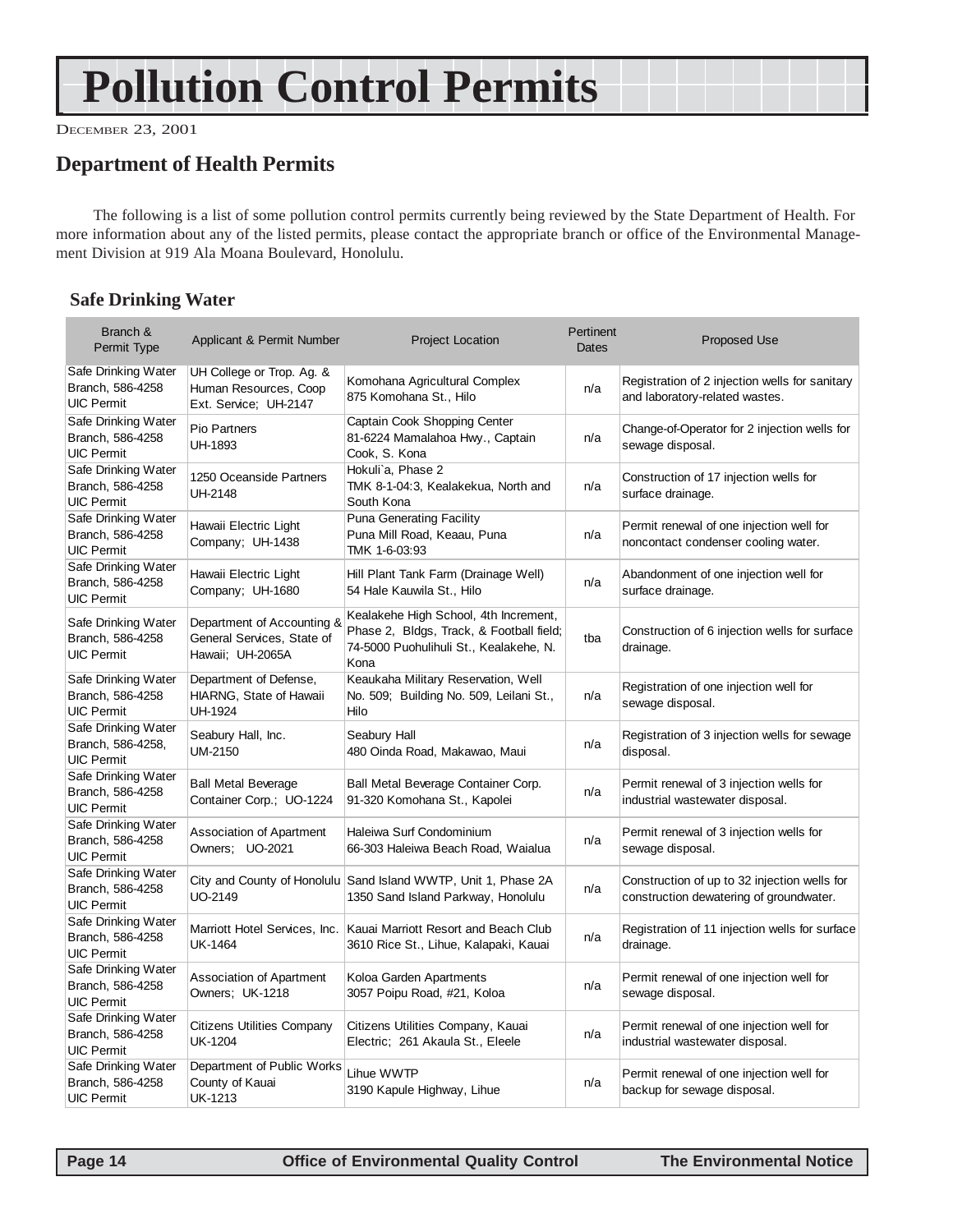## **Pollution Control Permits**

DECEMBER 23, 2001

## **Department of Health Permits**

The following is a list of some pollution control permits currently being reviewed by the State Department of Health. For more information about any of the listed permits, please contact the appropriate branch or office of the Environmental Management Division at 919 Ala Moana Boulevard, Honolulu.

#### **Safe Drinking Water**

| Branch &<br>Permit Type                                       | Applicant & Permit Number                                                    | <b>Project Location</b>                                                                                                             | Pertinent<br><b>Dates</b> | <b>Proposed Use</b>                                                                     |
|---------------------------------------------------------------|------------------------------------------------------------------------------|-------------------------------------------------------------------------------------------------------------------------------------|---------------------------|-----------------------------------------------------------------------------------------|
| Safe Drinking Water<br>Branch, 586-4258<br><b>UIC Permit</b>  | UH College or Trop. Ag. &<br>Human Resources, Coop<br>Ext. Service; UH-2147  | Komohana Agricultural Complex<br>875 Komohana St., Hilo                                                                             | n/a                       | Registration of 2 injection wells for sanitary<br>and laboratory-related wastes.        |
| Safe Drinking Water<br>Branch, 586-4258<br><b>UIC Permit</b>  | Pio Partners<br>UH-1893                                                      | Captain Cook Shopping Center<br>81-6224 Mamalahoa Hwy., Captain<br>Cook, S. Kona                                                    | n/a                       | Change-of-Operator for 2 injection wells for<br>sewage disposal.                        |
| Safe Drinking Water<br>Branch, 586-4258<br><b>UIC Permit</b>  | 1250 Oceanside Partners<br><b>UH-2148</b>                                    | Hokuli'a, Phase 2<br>TMK 8-1-04:3, Kealakekua, North and<br>South Kona                                                              | n/a                       | Construction of 17 injection wells for<br>surface drainage.                             |
| Safe Drinking Water<br>Branch, 586-4258<br><b>UIC Permit</b>  | Hawaii Electric Light<br>Company; UH-1438                                    | <b>Puna Generating Facility</b><br>Puna Mill Road, Keaau, Puna<br>TMK 1-6-03:93                                                     | n/a                       | Permit renewal of one injection well for<br>noncontact condenser cooling water.         |
| Safe Drinking Water<br>Branch, 586-4258<br><b>UIC Permit</b>  | Hawaii Electric Light<br>Company; UH-1680                                    | Hill Plant Tank Farm (Drainage Well)<br>54 Hale Kauwila St., Hilo                                                                   | n/a                       | Abandonment of one injection well for<br>surface drainage.                              |
| Safe Drinking Water<br>Branch, 586-4258<br><b>UIC Permit</b>  | Department of Accounting &<br>General Services, State of<br>Hawaii; UH-2065A | Kealakehe High School, 4th Increment,<br>Phase 2, Bldgs, Track, & Football field;<br>74-5000 Puohulihuli St., Kealakehe, N.<br>Kona | tba                       | Construction of 6 injection wells for surface<br>drainage.                              |
| Safe Drinking Water<br>Branch, 586-4258<br><b>UIC Permit</b>  | Department of Defense,<br>HIARNG, State of Hawaii<br><b>UH-1924</b>          | Keaukaha Military Reservation, Well<br>No. 509; Building No. 509, Leilani St.,<br>Hilo                                              | n/a                       | Registration of one injection well for<br>sewage disposal.                              |
| Safe Drinking Water<br>Branch, 586-4258,<br><b>UIC Permit</b> | Seabury Hall, Inc.<br><b>UM-2150</b>                                         | Seabury Hall<br>480 Oinda Road, Makawao, Maui                                                                                       | n/a                       | Registration of 3 injection wells for sewage<br>disposal.                               |
| Safe Drinking Water<br>Branch, 586-4258<br><b>UIC Permit</b>  | <b>Ball Metal Beverage</b><br>Container Corp.; UO-1224                       | Ball Metal Beverage Container Corp.<br>91-320 Komohana St., Kapolei                                                                 | n/a                       | Permit renewal of 3 injection wells for<br>industrial wastewater disposal.              |
| Safe Drinking Water<br>Branch, 586-4258<br><b>UIC Permit</b>  | Association of Apartment<br>Owners: UO-2021                                  | Haleiwa Surf Condominium<br>66-303 Haleiwa Beach Road, Waialua                                                                      | n/a                       | Permit renewal of 3 injection wells for<br>sewage disposal.                             |
| Safe Drinking Water<br>Branch, 586-4258<br><b>UIC Permit</b>  | UO-2149                                                                      | City and County of Honolulu Sand Island WWTP, Unit 1, Phase 2A<br>1350 Sand Island Parkway, Honolulu                                | n/a                       | Construction of up to 32 injection wells for<br>construction dewatering of groundwater. |
| Safe Drinking Water<br>Branch, 586-4258<br><b>UIC Permit</b>  | Marriott Hotel Services, Inc.<br><b>UK-1464</b>                              | Kauai Marriott Resort and Beach Club<br>3610 Rice St., Lihue, Kalapaki, Kauai                                                       | n/a                       | Registration of 11 injection wells for surface<br>drainage.                             |
| Safe Drinking Water<br>Branch, 586-4258<br><b>UIC Permit</b>  | Association of Apartment<br>Owners; UK-1218                                  | Koloa Garden Apartments<br>3057 Poipu Road, #21, Koloa                                                                              | n/a                       | Permit renewal of one injection well for<br>sewage disposal.                            |
| Safe Drinking Water<br>Branch, 586-4258<br><b>UIC Permit</b>  | <b>Citizens Utilities Company</b><br><b>UK-1204</b>                          | Citizens Utilities Company, Kauai<br>Electric; 261 Akaula St., Eleele                                                               | n/a                       | Permit renewal of one injection well for<br>industrial wastewater disposal.             |
| Safe Drinking Water<br>Branch, 586-4258<br><b>UIC Permit</b>  | Department of Public Works<br>County of Kauai<br><b>UK-1213</b>              | Lihue WWTP<br>3190 Kapule Highway, Lihue                                                                                            | n/a                       | Permit renewal of one injection well for<br>backup for sewage disposal.                 |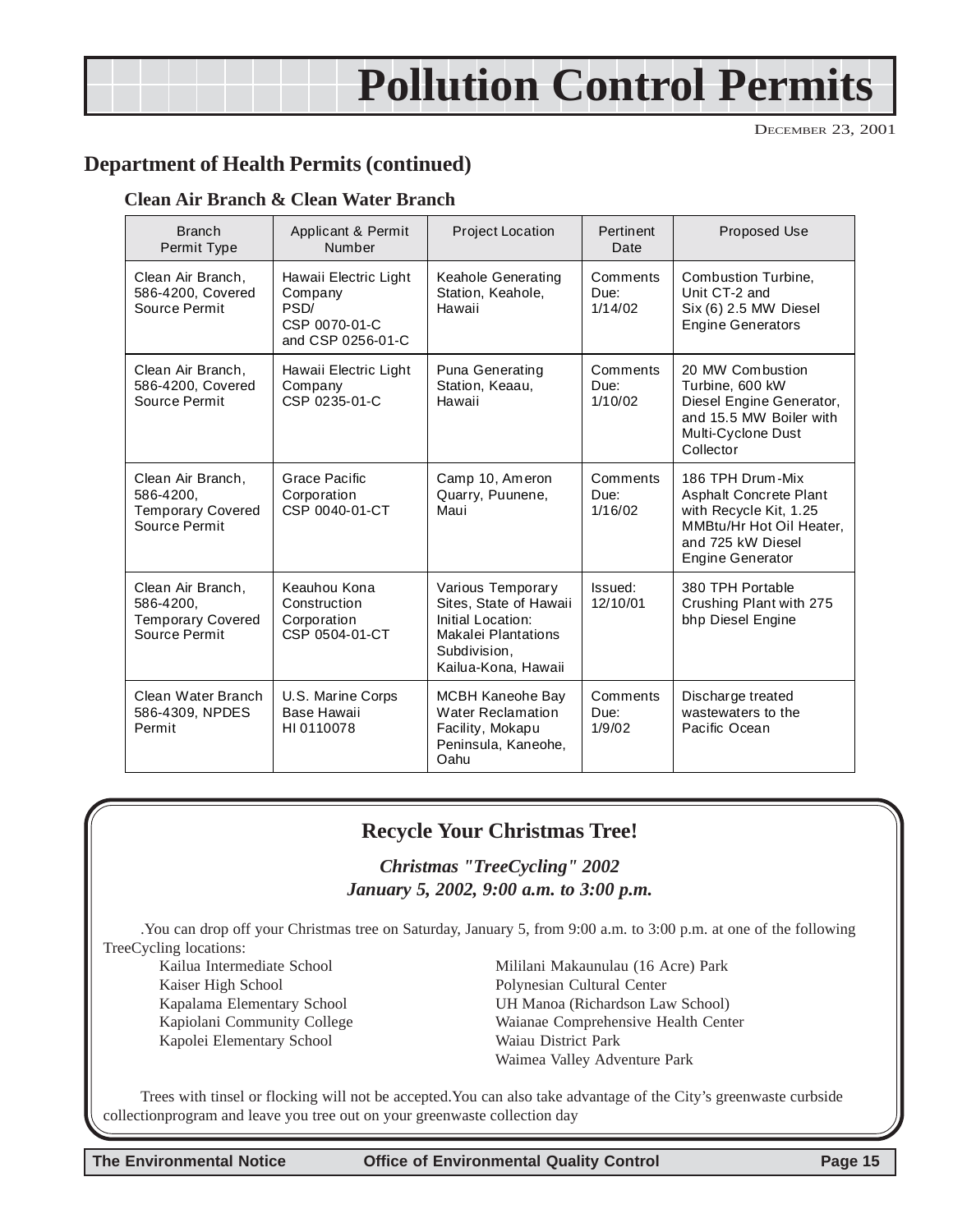## **Pollution Control Permits**

DECEMBER 23, 2001

### **Department of Health Permits (continued)**

#### **Clean Air Branch & Clean Water Branch**

| <b>Branch</b><br>Permit Type                                                | Applicant & Permit<br>Number                                                   | <b>Project Location</b>                                                                                                        | Pertinent<br>Date           | <b>Proposed Use</b>                                                                                                                              |
|-----------------------------------------------------------------------------|--------------------------------------------------------------------------------|--------------------------------------------------------------------------------------------------------------------------------|-----------------------------|--------------------------------------------------------------------------------------------------------------------------------------------------|
| Clean Air Branch,<br>586-4200, Covered<br>Source Permit                     | Hawaii Electric Light<br>Company<br>PSD/<br>CSP 0070-01-C<br>and CSP 0256-01-C | <b>Keahole Generating</b><br>Station, Keahole,<br>Hawaii                                                                       | Comments<br>Due:<br>1/14/02 | Combustion Turbine,<br>Unit CT-2 and<br>Six (6) 2.5 MW Diesel<br><b>Engine Generators</b>                                                        |
| Clean Air Branch,<br>586-4200, Covered<br>Source Permit                     | Hawaii Electric Light<br>Company<br>CSP 0235-01-C                              | Puna Generating<br>Station, Keaau,<br>Hawaii                                                                                   | Comments<br>Due:<br>1/10/02 | 20 MW Combustion<br>Turbine, 600 kW<br>Diesel Engine Generator,<br>and 15.5 MW Boiler with<br>Multi-Cyclone Dust<br>Collector                    |
| Clean Air Branch,<br>586-4200.<br><b>Temporary Covered</b><br>Source Permit | Grace Pacific<br>Corporation<br>CSP 0040-01-CT                                 | Camp 10, Ameron<br>Quarry, Puunene,<br>Maui                                                                                    | Comments<br>Due:<br>1/16/02 | 186 TPH Drum-Mix<br><b>Asphalt Concrete Plant</b><br>with Recycle Kit, 1.25<br>MMBtu/Hr Hot Oil Heater.<br>and 725 kW Diesel<br>Engine Generator |
| Clean Air Branch.<br>586-4200,<br><b>Temporary Covered</b><br>Source Permit | Keauhou Kona<br>Construction<br>Corporation<br>CSP 0504-01-CT                  | Various Temporary<br>Sites, State of Hawaii<br>Initial Location:<br>Makalei Plantations<br>Subdivision.<br>Kailua-Kona, Hawaii | Issued:<br>12/10/01         | 380 TPH Portable<br>Crushing Plant with 275<br>bhp Diesel Engine                                                                                 |
| Clean Water Branch<br>586-4309, NPDES<br>Permit                             | U.S. Marine Corps<br>Base Hawaii<br>HI0110078                                  | MCBH Kaneohe Bay<br><b>Water Reclamation</b><br>Facility, Mokapu<br>Peninsula, Kaneohe,<br>Oahu                                | Comments<br>Due:<br>1/9/02  | Discharge treated<br>wastewaters to the<br>Pacific Ocean                                                                                         |

#### **Recycle Your Christmas Tree!**

#### *Christmas "TreeCycling" 2002 January 5, 2002, 9:00 a.m. to 3:00 p.m.*

.You can drop off your Christmas tree on Saturday, January 5, from 9:00 a.m. to 3:00 p.m. at one of the following TreeCycling locations:

Kaiser High School Polynesian Cultural Center Kapolei Elementary School Waiau District Park

Kailua Intermediate School Mililani Makaunulau (16 Acre) Park Kapalama Elementary School UH Manoa (Richardson Law School) Kapiolani Community College Waianae Comprehensive Health Center Waimea Valley Adventure Park

Trees with tinsel or flocking will not be accepted.You can also take advantage of the City's greenwaste curbside collectionprogram and leave you tree out on your greenwaste collection day

**The Environmental Notice Office of Environmental Quality Control Page 15**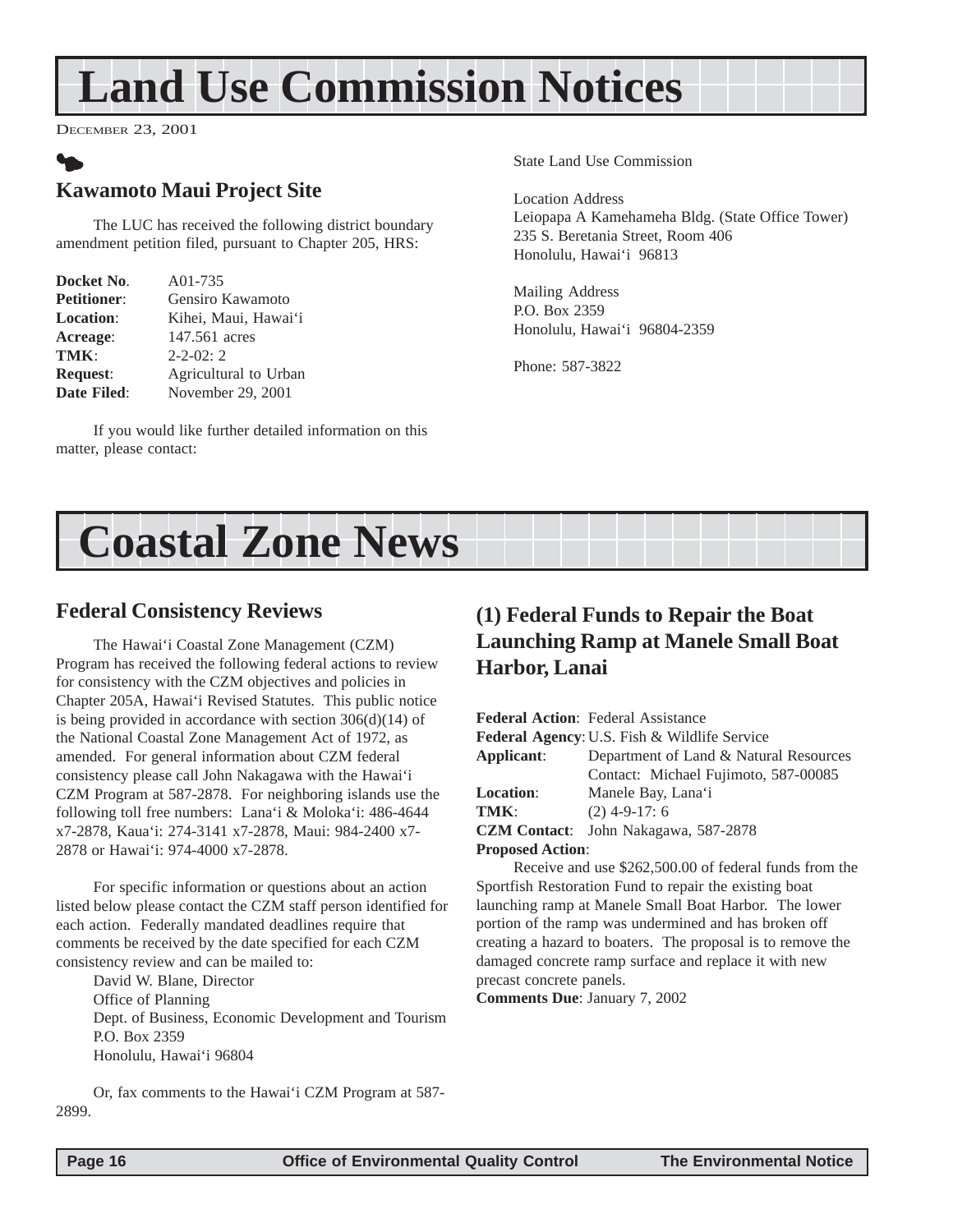## <span id="page-15-0"></span>**Land Use Commission Notices**

DECEMBER 23, 2001

## $\bullet$ **Kawamoto Maui Project Site**

The LUC has received the following district boundary amendment petition filed, pursuant to Chapter 205, HRS:

| Docket No.         | A01-735               |
|--------------------|-----------------------|
| <b>Petitioner:</b> | Gensiro Kawamoto      |
| <b>Location:</b>   | Kihei, Maui, Hawai'i  |
| Acreage:           | 147.561 acres         |
| TMK:               | $2 - 2 - 02$ : 2      |
| <b>Request:</b>    | Agricultural to Urban |
| <b>Date Filed:</b> | November 29, 2001     |

If you would like further detailed information on this matter, please contact:

State Land Use Commission

Location Address Leiopapa A Kamehameha Bldg. (State Office Tower) 235 S. Beretania Street, Room 406 Honolulu, Hawai'i 96813

Mailing Address P.O. Box 2359 Honolulu, Hawai'i 96804-2359

Phone: 587-3822

## **Coastal Zone News**

#### **Federal Consistency Reviews**

The Hawai'i Coastal Zone Management (CZM) Program has received the following federal actions to review for consistency with the CZM objectives and policies in Chapter 205A, Hawai'i Revised Statutes. This public notice is being provided in accordance with section 306(d)(14) of the National Coastal Zone Management Act of 1972, as amended. For general information about CZM federal consistency please call John Nakagawa with the Hawai'i CZM Program at 587-2878. For neighboring islands use the following toll free numbers: Lana'i & Moloka'i: 486-4644 x7-2878, Kaua'i: 274-3141 x7-2878, Maui: 984-2400 x7- 2878 or Hawai'i: 974-4000 x7-2878.

For specific information or questions about an action listed below please contact the CZM staff person identified for each action. Federally mandated deadlines require that comments be received by the date specified for each CZM consistency review and can be mailed to:

David W. Blane, Director Office of Planning Dept. of Business, Economic Development and Tourism P.O. Box 2359 Honolulu, Hawai'i 96804

## **(1) Federal Funds to Repair the Boat Launching Ramp at Manele Small Boat Harbor, Lanai**

|                         | <b>Federal Action: Federal Assistance</b>               |  |
|-------------------------|---------------------------------------------------------|--|
|                         | <b>Federal Agency: U.S. Fish &amp; Wildlife Service</b> |  |
| Applicant:              | Department of Land & Natural Resources                  |  |
|                         | Contact: Michael Fujimoto, 587-00085                    |  |
| <b>Location:</b>        | Manele Bay, Lana'i                                      |  |
| TMK:                    | $(2)$ 4-9-17: 6                                         |  |
|                         | <b>CZM Contact:</b> John Nakagawa, 587-2878             |  |
| <b>Proposed Action:</b> |                                                         |  |

Receive and use \$262,500.00 of federal funds from the Sportfish Restoration Fund to repair the existing boat launching ramp at Manele Small Boat Harbor. The lower portion of the ramp was undermined and has broken off creating a hazard to boaters. The proposal is to remove the damaged concrete ramp surface and replace it with new precast concrete panels.

**Comments Due**: January 7, 2002

Or, fax comments to the Hawai'i CZM Program at 587- 2899.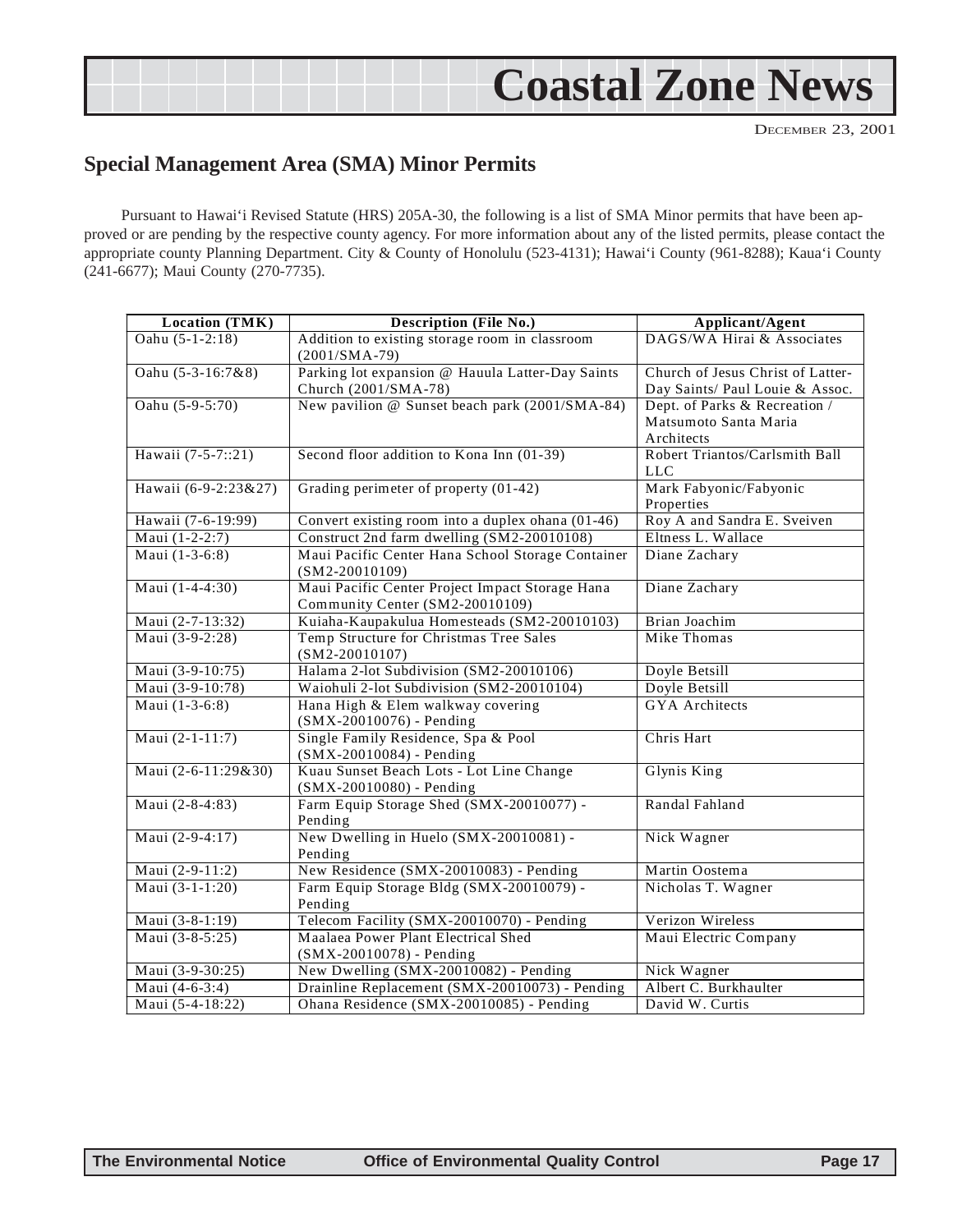## <span id="page-16-0"></span>**Coastal Zone News**

DECEMBER 23, 2001

## **Special Management Area (SMA) Minor Permits**

Pursuant to Hawai'i Revised Statute (HRS) 205A-30, the following is a list of SMA Minor permits that have been approved or are pending by the respective county agency. For more information about any of the listed permits, please contact the appropriate county Planning Department. City & County of Honolulu (523-4131); Hawai'i County (961-8288); Kaua'i County (241-6677); Maui County (270-7735).

| <b>Location (TMK)</b> | <b>Description (File No.)</b>                                                      | Applicant/Agent                                                      |
|-----------------------|------------------------------------------------------------------------------------|----------------------------------------------------------------------|
| Oahu (5-1-2:18)       | Addition to existing storage room in classroom<br>$(2001/SMA-79)$                  | DAGS/WA Hirai & Associates                                           |
| Oahu (5-3-16:7&8)     | Parking lot expansion @ Hauula Latter-Day Saints<br>Church (2001/SMA-78)           | Church of Jesus Christ of Latter-<br>Day Saints/ Paul Louie & Assoc. |
| Oahu (5-9-5:70)       | New pavilion @ Sunset beach park (2001/SMA-84)                                     | Dept. of Parks & Recreation /<br>Matsumoto Santa Maria<br>Architects |
| Hawaii (7-5-7::21)    | Second floor addition to Kona Inn (01-39)                                          | Robert Triantos/Carlsmith Ball<br><b>LLC</b>                         |
| Hawaii (6-9-2:23&27)  | Grading perimeter of property (01-42)                                              | Mark Fabyonic/Fabyonic<br>Properties                                 |
| Hawaii (7-6-19:99)    | Convert existing room into a duplex ohana (01-46)                                  | Roy A and Sandra E. Sveiven                                          |
| Maui (1-2-2:7)        | Construct 2nd farm dwelling (SM2-20010108)                                         | Eltness L. Wallace                                                   |
| Maui (1-3-6:8)        | Maui Pacific Center Hana School Storage Container<br>$(SM2-20010109)$              | Diane Zachary                                                        |
| Maui (1-4-4:30)       | Maui Pacific Center Project Impact Storage Hana<br>Community Center (SM2-20010109) | Diane Zachary                                                        |
| Maui (2-7-13:32)      | Kuiaha-Kaupakulua Homesteads (SM2-20010103)                                        | Brian Joachim                                                        |
| Maui $(3-9-2:28)$     | Temp Structure for Christmas Tree Sales<br>$(SM2-20010107)$                        | Mike Thomas                                                          |
| Maui (3-9-10:75)      | Halama 2-lot Subdivision (SM2-20010106)                                            | Doyle Betsill                                                        |
| Maui (3-9-10:78)      | Waiohuli 2-lot Subdivision (SM2-20010104)                                          | Doyle Betsill                                                        |
| Maui (1-3-6:8)        | Hana High & Elem walkway covering<br>(SMX-20010076) - Pending                      | <b>GYA</b> Architects                                                |
| Maui (2-1-11:7)       | Single Family Residence, Spa & Pool<br>(SMX-20010084) - Pending                    | Chris Hart                                                           |
| Maui (2-6-11:29&30)   | Kuau Sunset Beach Lots - Lot Line Change<br>(SMX-20010080) - Pending               | Glynis King                                                          |
| Maui (2-8-4:83)       | Farm Equip Storage Shed (SMX-20010077) -<br>Pending                                | Randal Fahland                                                       |
| Maui (2-9-4:17)       | New Dwelling in Huelo (SMX-20010081) -<br>Pending                                  | Nick Wagner                                                          |
| Maui (2-9-11:2)       | New Residence (SMX-20010083) - Pending                                             | Martin Oostema                                                       |
| Maui (3-1-1:20)       | Farm Equip Storage Bldg (SMX-20010079) -<br>Pending                                | Nicholas T. Wagner                                                   |
| Maui (3-8-1:19)       | Telecom Facility (SMX-20010070) - Pending                                          | Verizon Wireless                                                     |
| Maui (3-8-5:25)       | Maalaea Power Plant Electrical Shed<br>$(SMX - 20010078)$ - Pending                | Maui Electric Company                                                |
| Maui (3-9-30:25)      | New Dwelling (SMX-20010082) - Pending                                              | Nick Wagner                                                          |
| Maui (4-6-3:4)        | Drainline Replacement (SMX-20010073) - Pending                                     | Albert C. Burkhaulter                                                |
| Maui (5-4-18:22)      | Ohana Residence (SMX-20010085) - Pending                                           | David W. Curtis                                                      |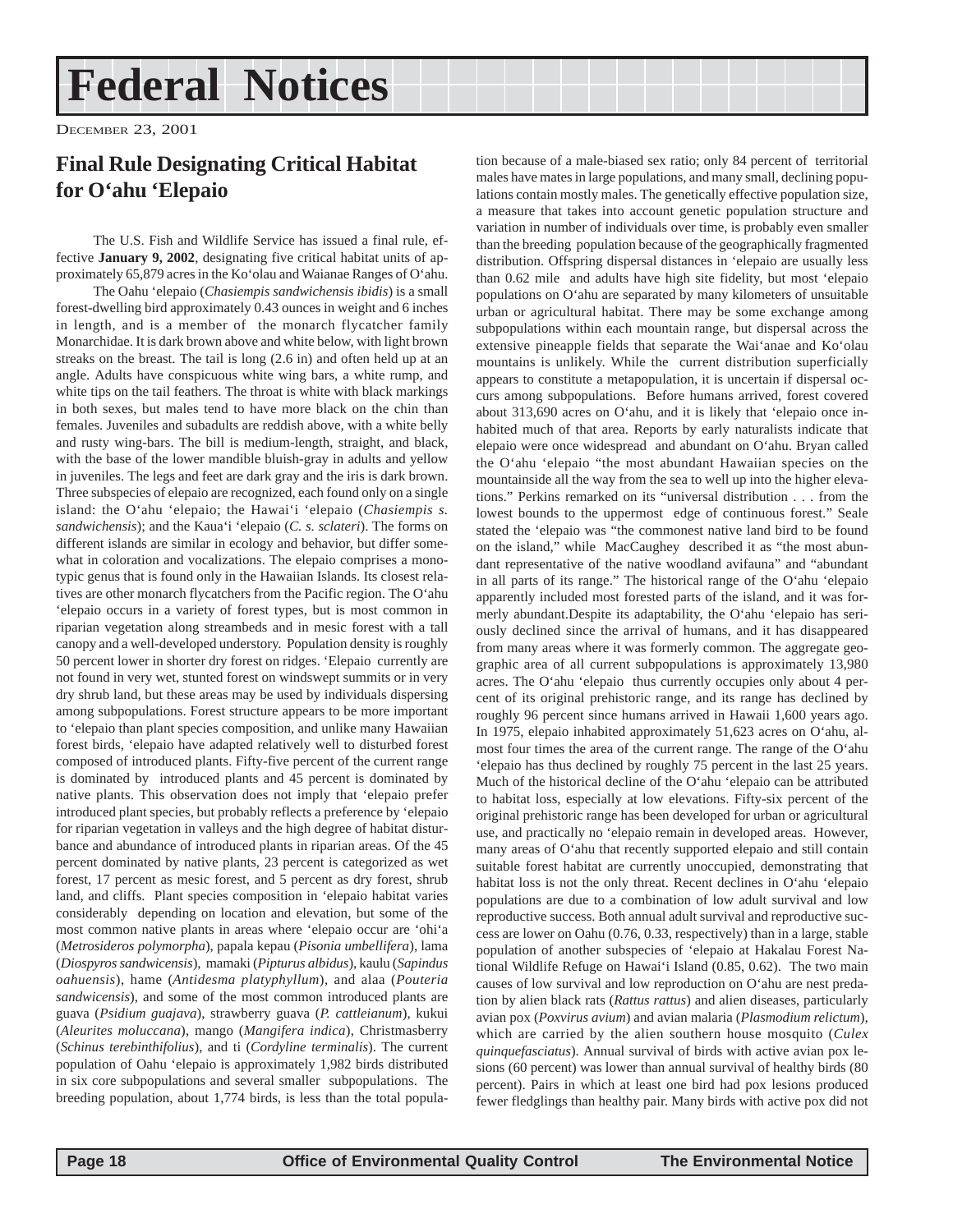## **Federal Notices**

DECEMBER 23, 2001

## **Final Rule Designating Critical Habitat for O'ahu 'Elepaio**

The U.S. Fish and Wildlife Service has issued a final rule, effective **January 9, 2002**, designating five critical habitat units of approximately 65,879 acres in the Ko'olau and Waianae Ranges of O'ahu.

The Oahu 'elepaio (*Chasiempis sandwichensis ibidis*) is a small forest-dwelling bird approximately 0.43 ounces in weight and 6 inches in length, and is a member of the monarch flycatcher family Monarchidae. It is dark brown above and white below, with light brown streaks on the breast. The tail is long (2.6 in) and often held up at an angle. Adults have conspicuous white wing bars, a white rump, and white tips on the tail feathers. The throat is white with black markings in both sexes, but males tend to have more black on the chin than females. Juveniles and subadults are reddish above, with a white belly and rusty wing-bars. The bill is medium-length, straight, and black, with the base of the lower mandible bluish-gray in adults and yellow in juveniles. The legs and feet are dark gray and the iris is dark brown. Three subspecies of elepaio are recognized, each found only on a single island: the O'ahu 'elepaio; the Hawai'i 'elepaio (*Chasiempis s. sandwichensis*); and the Kaua'i 'elepaio (*C. s. sclateri*). The forms on different islands are similar in ecology and behavior, but differ somewhat in coloration and vocalizations. The elepaio comprises a monotypic genus that is found only in the Hawaiian Islands. Its closest relatives are other monarch flycatchers from the Pacific region. The O'ahu 'elepaio occurs in a variety of forest types, but is most common in riparian vegetation along streambeds and in mesic forest with a tall canopy and a well-developed understory. Population density is roughly 50 percent lower in shorter dry forest on ridges. 'Elepaio currently are not found in very wet, stunted forest on windswept summits or in very dry shrub land, but these areas may be used by individuals dispersing among subpopulations. Forest structure appears to be more important to 'elepaio than plant species composition, and unlike many Hawaiian forest birds, 'elepaio have adapted relatively well to disturbed forest composed of introduced plants. Fifty-five percent of the current range is dominated by introduced plants and 45 percent is dominated by native plants. This observation does not imply that 'elepaio prefer introduced plant species, but probably reflects a preference by 'elepaio for riparian vegetation in valleys and the high degree of habitat disturbance and abundance of introduced plants in riparian areas. Of the 45 percent dominated by native plants, 23 percent is categorized as wet forest, 17 percent as mesic forest, and 5 percent as dry forest, shrub land, and cliffs. Plant species composition in 'elepaio habitat varies considerably depending on location and elevation, but some of the most common native plants in areas where 'elepaio occur are 'ohi'a (*Metrosideros polymorpha*), papala kepau (*Pisonia umbellifera*), lama (*Diospyros sandwicensis*), mamaki (*Pipturus albidus*), kaulu (*Sapindus oahuensis*), hame (*Antidesma platyphyllum*), and alaa (*Pouteria sandwicensis*), and some of the most common introduced plants are guava (*Psidium guajava*), strawberry guava (*P. cattleianum*), kukui (*Aleurites moluccana*), mango (*Mangifera indica*), Christmasberry (*Schinus terebinthifolius*), and ti (*Cordyline terminalis*). The current population of Oahu 'elepaio is approximately 1,982 birds distributed in six core subpopulations and several smaller subpopulations. The breeding population, about 1,774 birds, is less than the total popula-

tion because of a male-biased sex ratio; only 84 percent of territorial males have mates in large populations, and many small, declining populations contain mostly males. The genetically effective population size, a measure that takes into account genetic population structure and variation in number of individuals over time, is probably even smaller than the breeding population because of the geographically fragmented distribution. Offspring dispersal distances in 'elepaio are usually less than 0.62 mile and adults have high site fidelity, but most 'elepaio populations on O'ahu are separated by many kilometers of unsuitable urban or agricultural habitat. There may be some exchange among subpopulations within each mountain range, but dispersal across the extensive pineapple fields that separate the Wai'anae and Ko'olau mountains is unlikely. While the current distribution superficially appears to constitute a metapopulation, it is uncertain if dispersal occurs among subpopulations. Before humans arrived, forest covered about 313,690 acres on O'ahu, and it is likely that 'elepaio once inhabited much of that area. Reports by early naturalists indicate that elepaio were once widespread and abundant on O'ahu. Bryan called the O'ahu 'elepaio "the most abundant Hawaiian species on the mountainside all the way from the sea to well up into the higher elevations." Perkins remarked on its "universal distribution . . . from the lowest bounds to the uppermost edge of continuous forest." Seale stated the 'elepaio was "the commonest native land bird to be found on the island," while MacCaughey described it as "the most abundant representative of the native woodland avifauna" and "abundant in all parts of its range." The historical range of the O'ahu 'elepaio apparently included most forested parts of the island, and it was formerly abundant.Despite its adaptability, the O'ahu 'elepaio has seriously declined since the arrival of humans, and it has disappeared from many areas where it was formerly common. The aggregate geographic area of all current subpopulations is approximately 13,980 acres. The O'ahu 'elepaio thus currently occupies only about 4 percent of its original prehistoric range, and its range has declined by roughly 96 percent since humans arrived in Hawaii 1,600 years ago. In 1975, elepaio inhabited approximately 51,623 acres on O'ahu, almost four times the area of the current range. The range of the O'ahu 'elepaio has thus declined by roughly 75 percent in the last 25 years. Much of the historical decline of the O'ahu 'elepaio can be attributed to habitat loss, especially at low elevations. Fifty-six percent of the original prehistoric range has been developed for urban or agricultural use, and practically no 'elepaio remain in developed areas. However, many areas of O'ahu that recently supported elepaio and still contain suitable forest habitat are currently unoccupied, demonstrating that habitat loss is not the only threat. Recent declines in O'ahu 'elepaio populations are due to a combination of low adult survival and low reproductive success. Both annual adult survival and reproductive success are lower on Oahu (0.76, 0.33, respectively) than in a large, stable population of another subspecies of 'elepaio at Hakalau Forest National Wildlife Refuge on Hawai'i Island (0.85, 0.62). The two main causes of low survival and low reproduction on O'ahu are nest predation by alien black rats (*Rattus rattus*) and alien diseases, particularly avian pox (*Poxvirus avium*) and avian malaria (*Plasmodium relictum*), which are carried by the alien southern house mosquito (*Culex quinquefasciatus*). Annual survival of birds with active avian pox lesions (60 percent) was lower than annual survival of healthy birds (80 percent). Pairs in which at least one bird had pox lesions produced fewer fledglings than healthy pair. Many birds with active pox did not